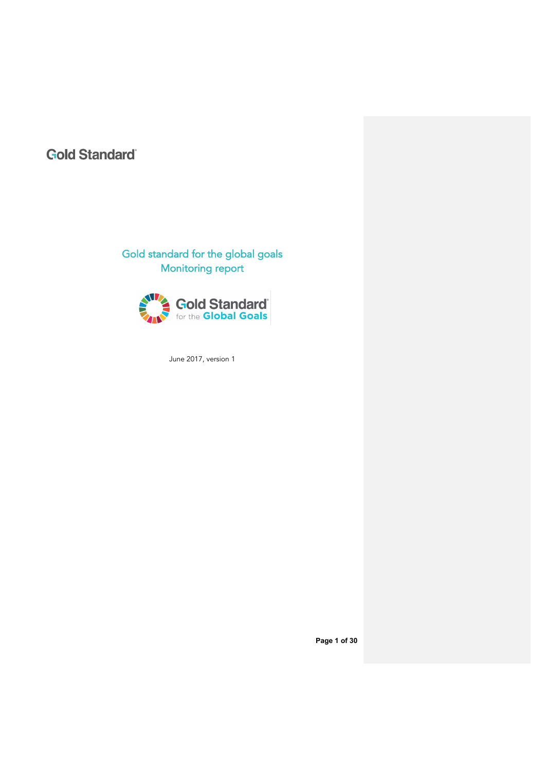# **Gold Standard**

# Gold standard for the global goals Monitoring report



June 2017, version 1

**Page 1 of 30**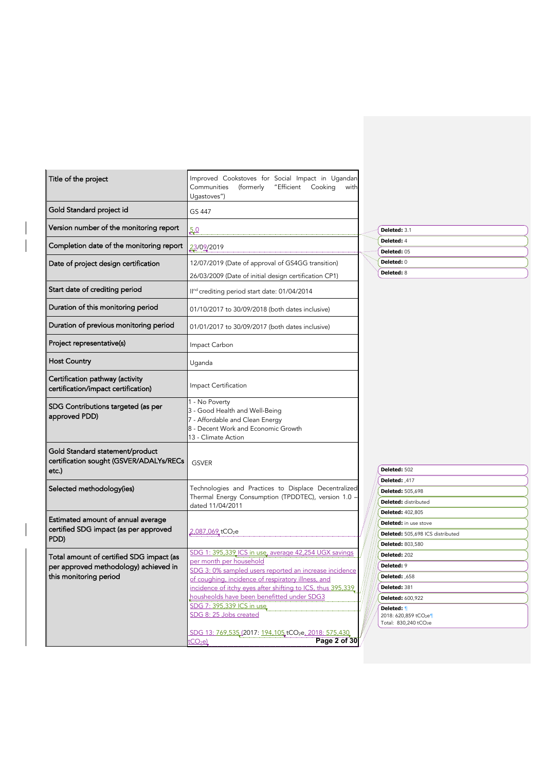| Title of the project                                                                | Improved Cookstoves for Social Impact in Ugandan<br>"Efficient Cooking<br>Communities<br>(formerly<br>with<br>Ugastoves")                         |                                                           |  |
|-------------------------------------------------------------------------------------|---------------------------------------------------------------------------------------------------------------------------------------------------|-----------------------------------------------------------|--|
| Gold Standard project id                                                            | GS 447                                                                                                                                            |                                                           |  |
| Version number of the monitoring report                                             | 50                                                                                                                                                | Deleted: 3.1                                              |  |
| Completion date of the monitoring report                                            | 23/09/2019                                                                                                                                        | Deleted: 4<br>Deleted: 05                                 |  |
|                                                                                     | 12/07/2019 (Date of approval of GS4GG transition)                                                                                                 | Deleted: 0                                                |  |
| Date of project design certification                                                |                                                                                                                                                   | Deleted: 8                                                |  |
|                                                                                     | 26/03/2009 (Date of initial design certification CP1)                                                                                             |                                                           |  |
| Start date of crediting period                                                      | II <sup>nd</sup> crediting period start date: 01/04/2014                                                                                          |                                                           |  |
| Duration of this monitoring period                                                  | 01/10/2017 to 30/09/2018 (both dates inclusive)                                                                                                   |                                                           |  |
| Duration of previous monitoring period                                              | 01/01/2017 to 30/09/2017 (both dates inclusive)                                                                                                   |                                                           |  |
| Project representative(s)                                                           | Impact Carbon                                                                                                                                     |                                                           |  |
| <b>Host Country</b>                                                                 | Uganda                                                                                                                                            |                                                           |  |
| Certification pathway (activity<br>certification/impact certification)              | Impact Certification                                                                                                                              |                                                           |  |
| SDG Contributions targeted (as per<br>approved PDD)                                 | 1 - No Poverty<br>3 - Good Health and Well-Being<br>7 - Affordable and Clean Energy<br>8 - Decent Work and Economic Growth<br>13 - Climate Action |                                                           |  |
| Gold Standard statement/product<br>certification sought (GSVER/ADALYs/RECs<br>etc.) | <b>GSVER</b>                                                                                                                                      | Deleted: 502                                              |  |
| Selected methodology(ies)                                                           | Technologies and Practices to Displace Decentralized                                                                                              | Deleted: ,417                                             |  |
|                                                                                     | Thermal Energy Consumption (TPDDTEC), version 1.0 -                                                                                               | <b>Deleted: 505,698</b><br><b>Deleted:</b> distributed    |  |
|                                                                                     | dated 11/04/2011                                                                                                                                  | <b>Deleted: 402,805</b>                                   |  |
| Estimated amount of annual average                                                  |                                                                                                                                                   | <b>Deleted:</b> in use stove                              |  |
| certified SDG impact (as per approved                                               | 2,087,069_tCO2e                                                                                                                                   | Deleted: 505,698 ICS distributed                          |  |
| PDD)                                                                                |                                                                                                                                                   | Deleted: 803,580                                          |  |
| Total amount of certified SDG impact (as                                            | SDG 1: 395,339 ICS in use, average 42,254 UGX savings                                                                                             | Deleted: 202                                              |  |
| per approved methodology) achieved in                                               | per month per household                                                                                                                           | Deleted: 9                                                |  |
| this monitoring period                                                              | SDG 3: 0% sampled users reported an increase incidence<br>of coughing, incidence of respiratory illness, and                                      | <b>Deleted: 658</b>                                       |  |
|                                                                                     | incidence of itchy eyes after shifting to ICS, thus 395,339                                                                                       | Deleted: 381                                              |  |
|                                                                                     | housheolds have been benefitted under SDG3                                                                                                        | <b>Deleted: 600,922</b>                                   |  |
|                                                                                     | SDG 7: 395,339 ICS in use<br>SDG 8: 25 Jobs created                                                                                               | Deleted: 1<br>2018: 620,859 tCO2e<br>Total: 830,240 tCO2e |  |
|                                                                                     | SDG 13: 769,535 (2017: 194,105 tCO <sub>2</sub> e, 2018: 575,430<br>Page 2 of 30<br>tCO <sub>2</sub> e                                            |                                                           |  |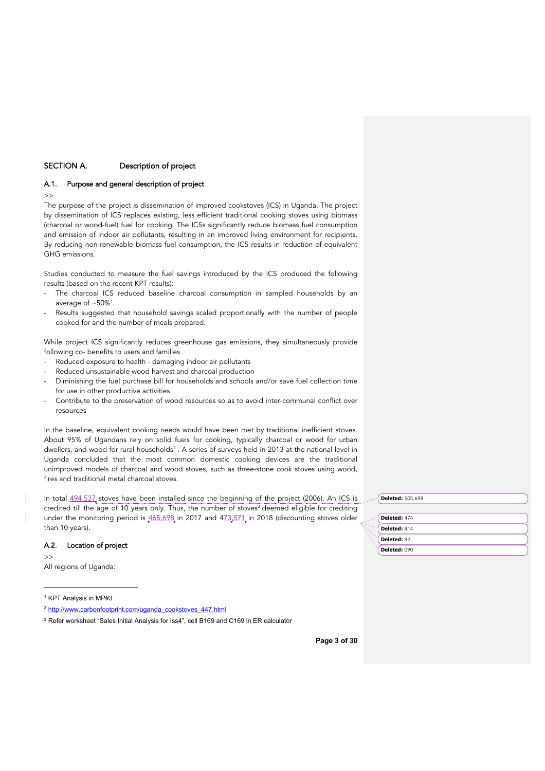# SECTION A. Description of project

# A.1. Purpose and general description of project

>>

The purpose of the project is dissemination of improved cookstoves (ICS) in Uganda. The project by dissemination of ICS replaces existing, less efficient traditional cooking stoves using biomass (charcoal or wood-fuel) fuel for cooking. The ICSs significantly reduce biomass fuel consumption and emission of indoor air pollutants, resulting in an improved living environment for recipients. By reducing non-renewable biomass fuel consumption, the ICS results in reduction of equivalent GHG emissions.

Studies conducted to measure the fuel savings introduced by the ICS produced the following results (based on the recent KPT results):

- The charcoal ICS reduced baseline charcoal consumption in sampled households by an average of  $~50\%$ <sup>1</sup>.
- Results suggested that household savings scaled proportionally with the number of people cooked for and the number of meals prepared.

While project ICS significantly reduces greenhouse gas emissions, they simultaneously provide following co- benefits to users and families

- Reduced exposure to health damaging indoor air pollutants
- Reduced unsustainable wood harvest and charcoal production
- Diminishing the fuel purchase bill for households and schools and/or save fuel collection time for use in other productive activities
- Contribute to the preservation of wood resources so as to avoid inter-communal conflict over resources

In the baseline, equivalent cooking needs would have been met by traditional inefficient stoves. About 95% of Ugandans rely on solid fuels for cooking, typically charcoal or wood for urban dwellers, and wood for rural households<sup>2</sup>. A series of surveys held in 2013 at the national level in Uganda concluded that the most common domestic cooking devices are the traditional unimproved models of charcoal and wood stoves, such as three-stone cook stoves using wood, fires and traditional metal charcoal stoves.

In total 494,537 stoves have been installed since the beginning of the project (2006). An ICS is credited till the age of 10 years only. Thus, the number of stoves<sup>3</sup> deemed eligible for crediting under the monitoring period is  $465,698$  in 2017 and  $473,571$  in 2018 (discounting stoves older than 10 years).

# A.2. Location of project

 $\rightarrow$ 

All regions of Uganda:

<sup>1</sup> KPT Analysis in MP#3

**Deleted:** 505,698

| Deleted: 474 |  |
|--------------|--|
| Deleted: 414 |  |
| Deleted: 82  |  |
| Deleted: 090 |  |

**Page 3 of 30**

<sup>2</sup> http://www.carbonfootprint.com/uganda\_cookstoves\_447.html

<sup>3</sup> Refer worksheet "Sales Initial Analysis for Iss4", cell B169 and C169 in ER calculator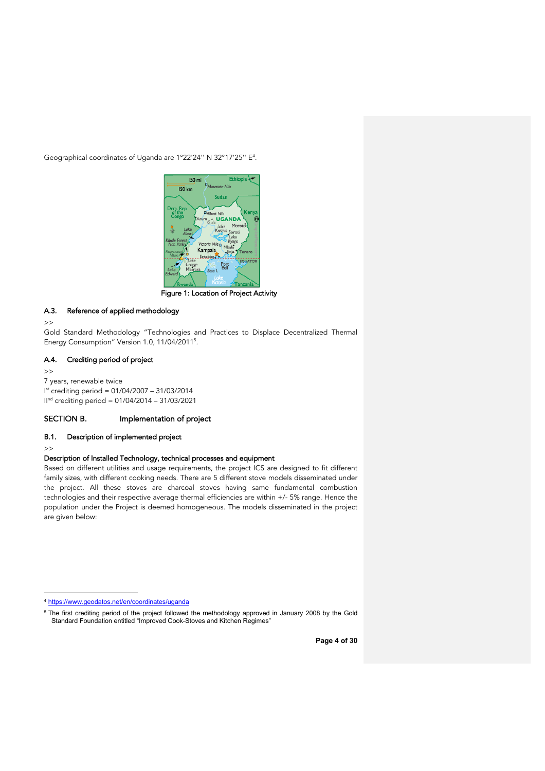Geographical coordinates of Uganda are 1°22'24'' N 32°17'25'' E4 .



Figure 1: Location of Project Activity

# A.3. Reference of applied methodology

 $\rightarrow$ 

Gold Standard Methodology "Technologies and Practices to Displace Decentralized Thermal Energy Consumption" Version 1.0, 11/04/20115 .

### A.4. Crediting period of project

```
\rightarrow7 years, renewable twice
I
st crediting period = 01/04/2007 – 31/03/2014
IInd crediting period = 01/04/2014 – 31/03/2021
```
# SECTION B. Implementation of project

### B.1. Description of implemented project

>>

# Description of Installed Technology, technical processes and equipment

Based on different utilities and usage requirements, the project ICS are designed to fit different family sizes, with different cooking needs. There are 5 different stove models disseminated under the project. All these stoves are charcoal stoves having same fundamental combustion technologies and their respective average thermal efficiencies are within +/- 5% range. Hence the population under the Project is deemed homogeneous. The models disseminated in the project are given below:

<sup>4</sup> https://www.geodatos.net/en/coordinates/uganda

<sup>5</sup> The first crediting period of the project followed the methodology approved in January 2008 by the Gold Standard Foundation entitled "Improved Cook-Stoves and Kitchen Regimes"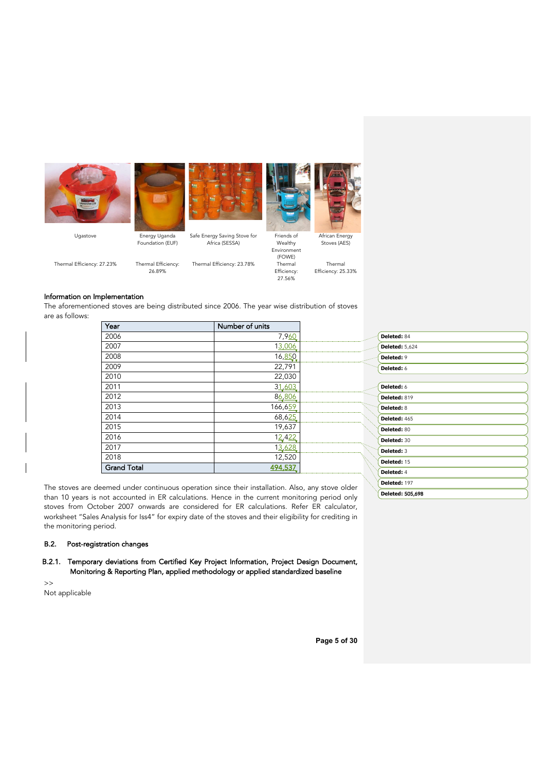







Ugastove Energy Uganda Foundation (EUF) Safe Energy Saving Stove for Africa (SESSA) Thermal Efficiency: 23.78%

African Energy Stoves (AES)

Thermal Efficiency: 25.33%

Information on Implementation

are as follows:

Thermal Efficiency: 27.23% Thermal Efficiency: 26.89%

(FOWE) Efficiency: 27.56%

Wealthy Environment

The aforementioned stoves are being distributed since 2006. The year wise distribution of stoves

| Year               | Number of units |                       |
|--------------------|-----------------|-----------------------|
| 2006               | 7,960           | Deleted: 84           |
| 2007               | 13,006          | <b>Deleted: 5,624</b> |
| 2008               | 16,850          | Deleted: 9            |
| 2009               | 22,791          | Deleted: 6            |
| 2010               | 22,030          |                       |
| 2011               | 31,603          | Deleted: 6            |
| 2012               | 86,806          | Deleted: 819          |
| 2013               | 166,659         | Deleted: 8            |
| 2014               | 68,625          | Deleted: 465          |
| 2015               | 19,637          | Deleted: 80           |
| 2016               | 12,422          | Deleted: 30           |
| 2017               | 13,628          | Deleted: 3            |
| 2018               | 12,520          | Deleted: 15           |
| <b>Grand Total</b> | 494,537         | Deleted: 4            |

The stoves are deemed under continuous operation since their installation. Also, any stove older than 10 years is not accounted in ER calculations. Hence in the current monitoring period only stoves from October 2007 onwards are considered for ER calculations. Refer ER calculator, worksheet "Sales Analysis for Iss4" for expiry date of the stoves and their eligibility for crediting in the monitoring period.

# B.2. Post-registration changes

# B.2.1. Temporary deviations from Certified Key Project Information, Project Design Document, Monitoring & Reporting Plan, applied methodology or applied standardized baseline

>> Not applicable

**Deleted:** 505,698

**Deleted:** 197

**Page 5 of 30**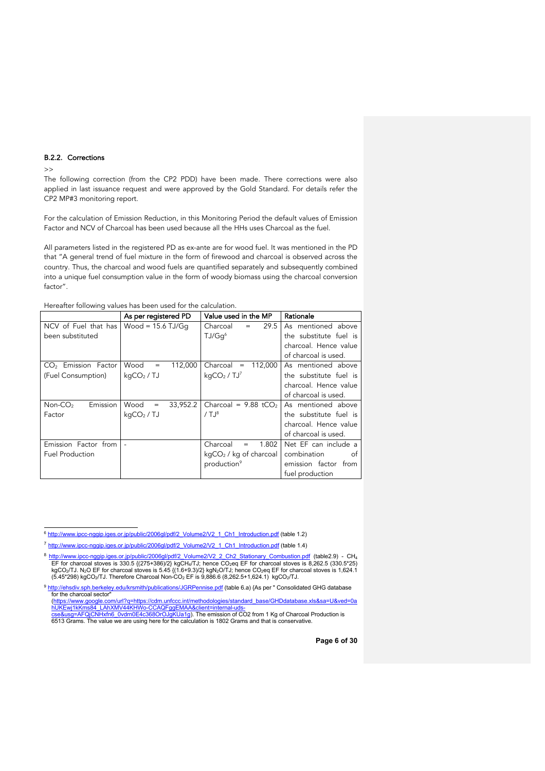### B.2.2. Corrections

#### $\rightarrow$

The following correction (from the CP2 PDD) have been made. There corrections were also applied in last issuance request and were approved by the Gold Standard. For details refer the CP2 MP#3 monitoring report.

For the calculation of Emission Reduction, in this Monitoring Period the default values of Emission Factor and NCV of Charcoal has been used because all the HHs uses Charcoal as the fuel.

All parameters listed in the registered PD as ex-ante are for wood fuel. It was mentioned in the PD that "A general trend of fuel mixture in the form of firewood and charcoal is observed across the country. Thus, the charcoal and wood fuels are quantified separately and subsequently combined into a unique fuel consumption value in the form of woody biomass using the charcoal conversion factor".

|                                 | As per registered PD                  | Value used in the MP               | Rationale              |  |  |
|---------------------------------|---------------------------------------|------------------------------------|------------------------|--|--|
| NCV of Fuel that has            | Wood = $15.6$ TJ/Gq                   | 29.5<br>Charcoal<br>$=$            | As mentioned above     |  |  |
| been substituted                |                                       | TJ/Gq <sup>6</sup>                 | the substitute fuel is |  |  |
|                                 |                                       |                                    | charcoal. Hence value  |  |  |
|                                 |                                       |                                    | of charcoal is used.   |  |  |
| CO <sub>2</sub> Emission Factor | Wood<br>112,000<br>$=$                | 112,000<br>Charcoal<br>$\quad =$   | As mentioned above     |  |  |
| (Fuel Consumption)              | kgCO <sub>2</sub> / TJ                | kgCO <sub>2</sub> /TJ <sup>7</sup> | the substitute fuel is |  |  |
|                                 |                                       |                                    | charcoal. Hence value  |  |  |
|                                 |                                       |                                    | of charcoal is used.   |  |  |
| Emission<br>$Non-CO2$           | Wood<br>33,952.2<br>$\qquad \qquad =$ | Charcoal = $9.88$ tCO <sub>2</sub> | As mentioned above     |  |  |
| Factor                          | kqCO <sub>2</sub> / TJ                | /T <sup>8</sup>                    | the substitute fuel is |  |  |
|                                 |                                       |                                    | charcoal. Hence value  |  |  |
|                                 |                                       |                                    | of charcoal is used.   |  |  |
| Emission Factor from            |                                       | Charcoal<br>1.802<br>$=$           | Net EF can include a   |  |  |
| <b>Fuel Production</b>          |                                       | $kgCO2$ / kg of charcoal           | combination<br>of      |  |  |
|                                 |                                       | production <sup>9</sup>            | emission factor from   |  |  |
|                                 |                                       |                                    | fuel production        |  |  |

Hereafter following values has been used for the calculation.

<sup>6</sup> http://www.ipcc-nggip.iges.or.jp/public/2006gl/pdf/2\_Volume2/V2\_1\_Ch1\_Introduction.pdf (table 1.2)

<sup>7</sup> http://www.ipcc-nggip.iges.or.jp/public/2006gl/pdf/2\_Volume2/V2\_1\_Ch1\_Introduction.pdf (table 1.4)

<sup>8</sup> http://www.ipcc-ngqip.iges.or.jp/public/2006gl/pdf/2\_Volume2/V2\_2\_Ch2\_Stationary\_Combustion.pdf (table2.9) - CH<sub>4</sub> EF for charcoal stoves is 330.5 {(275+386)/2} kgCH4/TJ; hence CO<sub>2</sub>eq EF for charcoal stoves is 8,262.5 (330.5\*25)<br>kgCO<sub>2</sub>/TJ. N<sub>2</sub>O EF for charcoal stoves is 5.45 {(1.6+9.3)/2} kgN<sub>2</sub>O/TJ; hence CO<sub>2</sub>eq EF for charcoal s

<sup>9</sup> http://ehsdiv.sph.berkeley.edu/krsmith/publications/JGRPennise.pdf (table 6.a) {As per " Consolidated GHG database for the charcoal sector" (https://www.google.com/url?q=https://cdm.unfccc.int/methodologies/standard\_base/GHDdatabase.xls&sa=U&ved=0a

<sup>&</sup>lt;u>hUKEwj1kKms84\_LAhXMV44KHWo-CCAQFggEMAA&client=internal-uds-</u><br><u>cse&usg=AFQjCNHxfn6\_0vdrn0E4c368OrOJgKUa1g</u>). The emission of CO2 from 1 Kg of Charcoal Production is

<sup>6513</sup> Grams. The value we are using here for the calculation is 1802 Grams and that is conservative.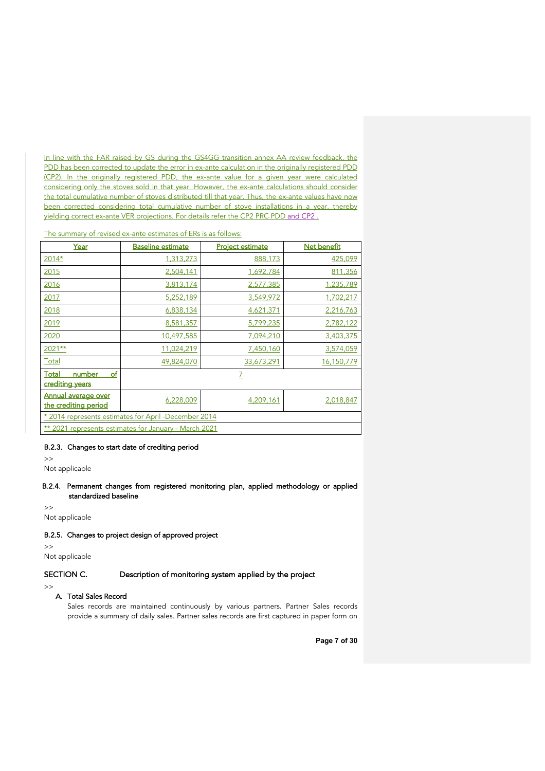In line with the FAR raised by GS during the GS4GG transition annex AA review feedback, the PDD has been corrected to update the error in ex-ante calculation in the originally registered PDD (CP2). In the originally registered PDD, the ex-ante value for a given year were calculated considering only the stoves sold in that year. However, the ex-ante calculations should consider the total cumulative number of stoves distributed till that year. Thus, the ex-ante values have now been corrected considering total cumulative number of stove installations in a year, thereby yielding correct ex-ante VER projections. For details refer the CP2 PRC PDD and CP2 .

| The summary of revised ex-ante estimates of ERs is as follows: |  |  |  |  |
|----------------------------------------------------------------|--|--|--|--|
|                                                                |  |  |  |  |

| Year                                                  | <b>Baseline estimate</b>                             | <b>Project estimate</b> | Net benefit |  |
|-------------------------------------------------------|------------------------------------------------------|-------------------------|-------------|--|
| 2014*                                                 | 1,313,273                                            | 888,173                 | 425,099     |  |
| 2015                                                  | 2,504,141                                            | 1,692,784               | 811,356     |  |
| 2016                                                  | 3,813,174                                            | 2,577,385               | 1,235,789   |  |
| 2017                                                  | 5,252,189                                            | 3,549,972               | 1,702,217   |  |
| 2018                                                  | 6,838,134                                            | 4,621,371               | 2,216,763   |  |
| 2019                                                  | 8,581,357                                            | 5,799,235               | 2,782,122   |  |
| 2020                                                  | 10,497,585                                           | 7,094,210               | 3,403,375   |  |
| 2021**                                                | 11,024,219                                           | 7,450,160               | 3,574,059   |  |
| Total                                                 | 49,824,070                                           | 33,673,291              | 16,150,779  |  |
| of<br>Total<br>number<br>crediting years              |                                                      | Z                       |             |  |
| <b>Annual average over</b><br>the crediting period    | 6,228,009                                            | 4,209,161               | 2,018,847   |  |
|                                                       | * 2014 represents estimates for April -December 2014 |                         |             |  |
| ** 2021 represents estimates for January - March 2021 |                                                      |                         |             |  |

# B.2.3. Changes to start date of crediting period

>>

Not applicable

# B.2.4. Permanent changes from registered monitoring plan, applied methodology or applied standardized baseline

>> Not applicable

### B.2.5. Changes to project design of approved project

 $\gt$ Not applicable

# SECTION C. Description of monitoring system applied by the project

>>

# A. Total Sales Record

Sales records are maintained continuously by various partners. Partner Sales records provide a summary of daily sales. Partner sales records are first captured in paper form on

**Page 7 of 30**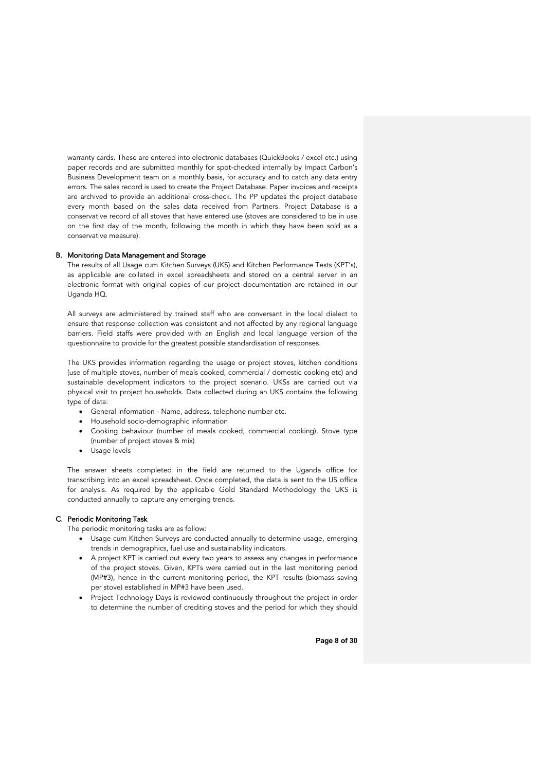warranty cards. These are entered into electronic databases (QuickBooks / excel etc.) using paper records and are submitted monthly for spot-checked internally by Impact Carbon's Business Development team on a monthly basis, for accuracy and to catch any data entry errors. The sales record is used to create the Project Database. Paper invoices and receipts are archived to provide an additional cross-check. The PP updates the project database every month based on the sales data received from Partners. Project Database is a conservative record of all stoves that have entered use (stoves are considered to be in use on the first day of the month, following the month in which they have been sold as a conservative measure).

### B. Monitoring Data Management and Storage

The results of all Usage cum Kitchen Surveys (UKS) and Kitchen Performance Tests (KPT's), as applicable are collated in excel spreadsheets and stored on a central server in an electronic format with original copies of our project documentation are retained in our Uganda HQ.

All surveys are administered by trained staff who are conversant in the local dialect to ensure that response collection was consistent and not affected by any regional language barriers. Field staffs were provided with an English and local language version of the questionnaire to provide for the greatest possible standardisation of responses.

The UKS provides information regarding the usage or project stoves, kitchen conditions (use of multiple stoves, number of meals cooked, commercial / domestic cooking etc) and sustainable development indicators to the project scenario. UKSs are carried out via physical visit to project households. Data collected during an UKS contains the following type of data:

- General information Name, address, telephone number etc.
- Household socio-demographic information
- Cooking behaviour (number of meals cooked, commercial cooking), Stove type (number of project stoves & mix)
- Usage levels

The answer sheets completed in the field are returned to the Uganda office for transcribing into an excel spreadsheet. Once completed, the data is sent to the US office for analysis. As required by the applicable Gold Standard Methodology the UKS is conducted annually to capture any emerging trends.

### C. Periodic Monitoring Task

The periodic monitoring tasks are as follow:

- Usage cum Kitchen Surveys are conducted annually to determine usage, emerging trends in demographics, fuel use and sustainability indicators.
- A project KPT is carried out every two years to assess any changes in performance of the project stoves. Given, KPTs were carried out in the last monitoring period (MP#3), hence in the current monitoring period, the KPT results (biomass saving per stove) established in MP#3 have been used.
- Project Technology Days is reviewed continuously throughout the project in order to determine the number of crediting stoves and the period for which they should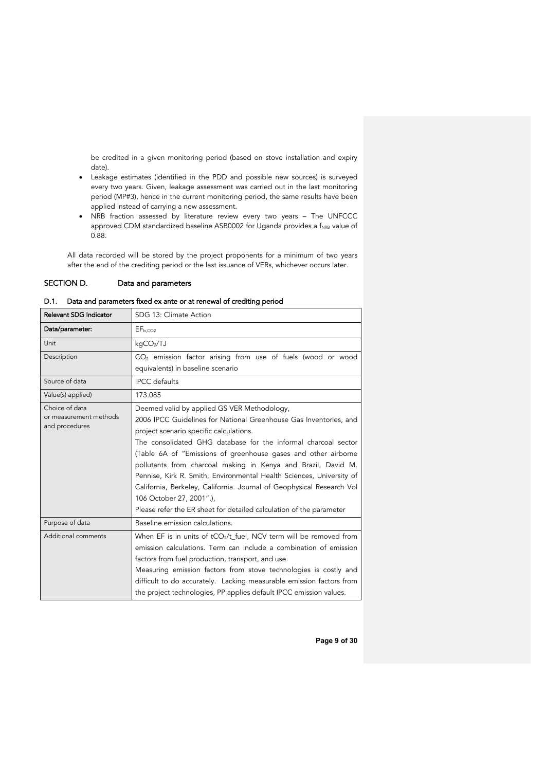be credited in a given monitoring period (based on stove installation and expiry date).

- Leakage estimates (identified in the PDD and possible new sources) is surveyed every two years. Given, leakage assessment was carried out in the last monitoring period (MP#3), hence in the current monitoring period, the same results have been applied instead of carrying a new assessment.
- NRB fraction assessed by literature review every two years The UNFCCC approved CDM standardized baseline ASB0002 for Uganda provides a f<sub>NRB</sub> value of 0.88.

All data recorded will be stored by the project proponents for a minimum of two years after the end of the crediting period or the last issuance of VERs, whichever occurs later.

### SECTION D. Data and parameters

# D.1. Data and parameters fixed ex ante or at renewal of crediting period

| Relevant SDG Indicator | SDG 13: Climate Action                                                |
|------------------------|-----------------------------------------------------------------------|
| Data/parameter:        | EF <sub>b.CO2</sub>                                                   |
| Unit                   | kqCO <sub>2</sub> /TJ                                                 |
| Description            | $CO2$ emission factor arising from use of fuels (wood or wood         |
|                        | equivalents) in baseline scenario                                     |
| Source of data         | <b>IPCC</b> defaults                                                  |
| Value(s) applied)      | 173.085                                                               |
| Choice of data         | Deemed valid by applied GS VER Methodology,                           |
| or measurement methods | 2006 IPCC Guidelines for National Greenhouse Gas Inventories, and     |
| and procedures         | project scenario specific calculations.                               |
|                        | The consolidated GHG database for the informal charcoal sector        |
|                        | (Table 6A of "Emissions of greenhouse gases and other airborne        |
|                        | pollutants from charcoal making in Kenya and Brazil, David M.         |
|                        | Pennise, Kirk R. Smith, Environmental Health Sciences, University of  |
|                        | California, Berkeley, California. Journal of Geophysical Research Vol |
|                        | 106 October 27, 2001".),                                              |
|                        | Please refer the ER sheet for detailed calculation of the parameter   |
| Purpose of data        | Baseline emission calculations.                                       |
| Additional comments    | When EF is in units of $tCO_2/t$ fuel, NCV term will be removed from  |
|                        | emission calculations. Term can include a combination of emission     |
|                        | factors from fuel production, transport, and use.                     |
|                        | Measuring emission factors from stove technologies is costly and      |
|                        | difficult to do accurately. Lacking measurable emission factors from  |
|                        | the project technologies, PP applies default IPCC emission values.    |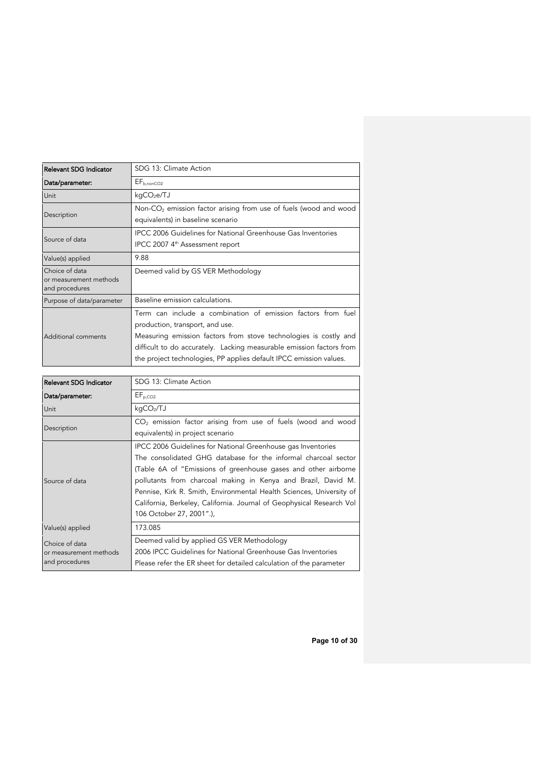| Relevant SDG Indicator                   | SDG 13: Climate Action                                               |
|------------------------------------------|----------------------------------------------------------------------|
| Data/parameter:                          | $EF_{b.nonCO2}$                                                      |
| Unit                                     | kqCO <sub>2</sub> e/TJ                                               |
|                                          | Non- $CO2$ emission factor arising from use of fuels (wood and wood  |
| Description                              | equivalents) in baseline scenario                                    |
| Source of data                           | IPCC 2006 Guidelines for National Greenhouse Gas Inventories         |
|                                          | IPCC 2007 4 <sup>th</sup> Assessment report                          |
| Value(s) applied                         | 9.88                                                                 |
| Choice of data                           | Deemed valid by GS VER Methodology                                   |
| or measurement methods<br>and procedures |                                                                      |
| Purpose of data/parameter                | Baseline emission calculations.                                      |
|                                          | Term can include a combination of emission factors from fuel         |
| Additional comments                      | production, transport, and use.                                      |
|                                          | Measuring emission factors from stove technologies is costly and     |
|                                          | difficult to do accurately. Lacking measurable emission factors from |
|                                          | the project technologies, PP applies default IPCC emission values.   |

| <b>Relevant SDG Indicator</b>                              | SDG 13: Climate Action                                                                                                                                                                                                                                                                                                                                                                                                                         |
|------------------------------------------------------------|------------------------------------------------------------------------------------------------------------------------------------------------------------------------------------------------------------------------------------------------------------------------------------------------------------------------------------------------------------------------------------------------------------------------------------------------|
| Data/parameter:                                            | $EF_{p,CO2}$                                                                                                                                                                                                                                                                                                                                                                                                                                   |
| Unit                                                       | kqCO <sub>2</sub> /TJ                                                                                                                                                                                                                                                                                                                                                                                                                          |
| Description                                                | $CO2$ emission factor arising from use of fuels (wood and wood<br>equivalents) in project scenario                                                                                                                                                                                                                                                                                                                                             |
| Source of data                                             | IPCC 2006 Guidelines for National Greenhouse gas Inventories<br>The consolidated GHG database for the informal charcoal sector<br>(Table 6A of "Emissions of greenhouse gases and other airborne<br>pollutants from charcoal making in Kenya and Brazil, David M.<br>Pennise, Kirk R. Smith, Environmental Health Sciences, University of<br>California, Berkeley, California. Journal of Geophysical Research Vol<br>106 October 27, 2001".), |
| Value(s) applied                                           | 173.085                                                                                                                                                                                                                                                                                                                                                                                                                                        |
| Choice of data<br>or measurement methods<br>and procedures | Deemed valid by applied GS VER Methodology<br>2006 IPCC Guidelines for National Greenhouse Gas Inventories<br>Please refer the ER sheet for detailed calculation of the parameter                                                                                                                                                                                                                                                              |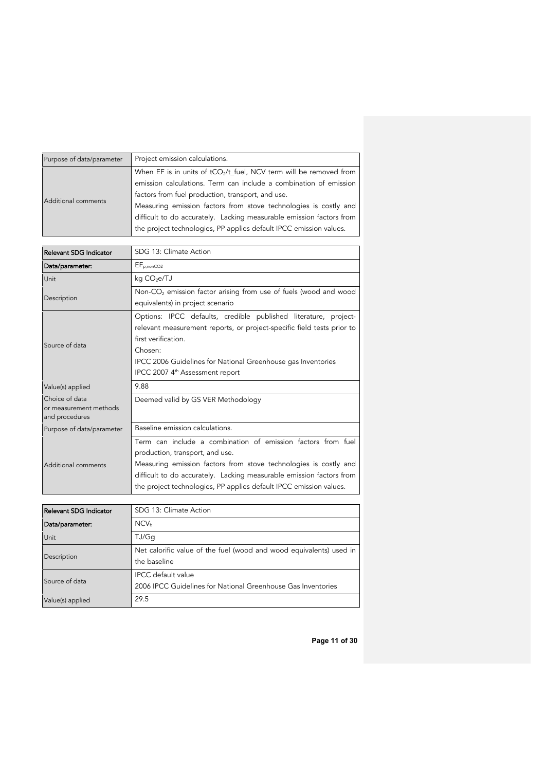| Purpose of data/parameter | Project emission calculations.                                       |  |  |
|---------------------------|----------------------------------------------------------------------|--|--|
| Additional comments       | When EF is in units of $tCO_2/t$ fuel, NCV term will be removed from |  |  |
|                           | emission calculations. Term can include a combination of emission    |  |  |
|                           | factors from fuel production, transport, and use.                    |  |  |
|                           | Measuring emission factors from stove technologies is costly and     |  |  |
|                           | difficult to do accurately. Lacking measurable emission factors from |  |  |
|                           | the project technologies, PP applies default IPCC emission values.   |  |  |

| Relevant SDG Indicator                                     | SDG 13: Climate Action                                                                                                                                                                                                                                                                                            |
|------------------------------------------------------------|-------------------------------------------------------------------------------------------------------------------------------------------------------------------------------------------------------------------------------------------------------------------------------------------------------------------|
| Data/parameter:                                            | $EF_{p,nonCO2}$                                                                                                                                                                                                                                                                                                   |
| Unit                                                       | kg CO <sub>2</sub> e/TJ                                                                                                                                                                                                                                                                                           |
| Description                                                | Non-CO <sub>2</sub> emission factor arising from use of fuels (wood and wood<br>equivalents) in project scenario                                                                                                                                                                                                  |
| Source of data                                             | Options: IPCC defaults, credible published literature, project-<br>relevant measurement reports, or project-specific field tests prior to<br>first verification.<br>Chosen:<br>IPCC 2006 Guidelines for National Greenhouse gas Inventories<br>IPCC 2007 4 <sup>th</sup> Assessment report                        |
| Value(s) applied                                           | 9.88                                                                                                                                                                                                                                                                                                              |
| Choice of data<br>or measurement methods<br>and procedures | Deemed valid by GS VER Methodology                                                                                                                                                                                                                                                                                |
| Purpose of data/parameter                                  | Baseline emission calculations.                                                                                                                                                                                                                                                                                   |
| Additional comments                                        | Term can include a combination of emission factors from fuel<br>production, transport, and use.<br>Measuring emission factors from stove technologies is costly and<br>difficult to do accurately. Lacking measurable emission factors from<br>the project technologies, PP applies default IPCC emission values. |

| <b>Relevant SDG Indicator</b> | SDG 13: Climate Action                                              |
|-------------------------------|---------------------------------------------------------------------|
| Data/parameter:               | NCV <sub>b</sub>                                                    |
| Unit                          | TJ/Ga                                                               |
| Description                   | Net calorific value of the fuel (wood and wood equivalents) used in |
|                               | the baseline                                                        |
| Source of data                | <b>IPCC</b> default value                                           |
|                               | 2006 IPCC Guidelines for National Greenhouse Gas Inventories        |
| Value(s) applied              | 29.5                                                                |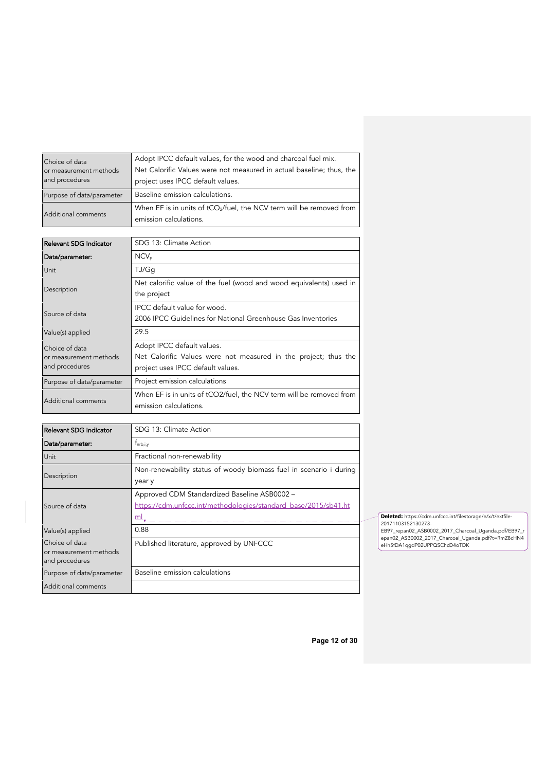| Choice of data<br>or measurement methods<br>and procedures | Adopt IPCC default values, for the wood and charcoal fuel mix.<br>Net Calorific Values were not measured in actual baseline; thus, the<br>project uses IPCC default values. |
|------------------------------------------------------------|-----------------------------------------------------------------------------------------------------------------------------------------------------------------------------|
| Purpose of data/parameter                                  | Baseline emission calculations.                                                                                                                                             |
| Additional comments                                        | When EF is in units of tCO <sub>2</sub> /fuel, the NCV term will be removed from<br>emission calculations.                                                                  |

| Relevant SDG Indicator                   | SDG 13: Climate Action                                              |
|------------------------------------------|---------------------------------------------------------------------|
| Data/parameter:                          | $NCV_{p}$                                                           |
| Unit                                     | TJ/Gq                                                               |
| Description                              | Net calorific value of the fuel (wood and wood equivalents) used in |
|                                          | the project                                                         |
| Source of data                           | IPCC default value for wood.                                        |
|                                          | 2006 IPCC Guidelines for National Greenhouse Gas Inventories        |
| Value(s) applied                         | 29.5                                                                |
| Choice of data                           | Adopt IPCC default values.                                          |
| or measurement methods<br>and procedures | Net Calorific Values were not measured in the project; thus the     |
|                                          | project uses IPCC default values.                                   |
| Purpose of data/parameter                | Project emission calculations                                       |
| Additional comments                      | When EF is in units of tCO2/fuel, the NCV term will be removed from |
|                                          | emission calculations.                                              |

| Relevant SDG Indicator                   | SDG 13: Climate Action                                             |
|------------------------------------------|--------------------------------------------------------------------|
| Data/parameter:                          | $f_{\text{nrb},i,v}$                                               |
| Unit                                     | Fractional non-renewability                                        |
|                                          | Non-renewability status of woody biomass fuel in scenario i during |
| Description                              | year y                                                             |
|                                          | Approved CDM Standardized Baseline ASB0002 -                       |
| Source of data                           | https://cdm.unfccc.int/methodologies/standard_base/2015/sb41.ht    |
|                                          | ml                                                                 |
| Value(s) applied                         | 0.88                                                               |
| Choice of data                           | Published literature, approved by UNFCCC                           |
| or measurement methods<br>and procedures |                                                                    |
|                                          |                                                                    |
| Purpose of data/parameter                | Baseline emission calculations                                     |
| Additional comments                      |                                                                    |

**Deleted:** https://cdm.unfccc.int/filestorage/e/x/t/extfile-20171103152130273- EB97\_repan02\_ASB0002\_2017\_Charcoal\_Uganda.pdf/EB97\_r epan02\_ASB0002\_2017\_Charcoal\_Uganda.pdf?t=RmZ8cHN4 eHh5fDA1qgdP02UPPQSChcD4oTDK

**Page 12 of 30**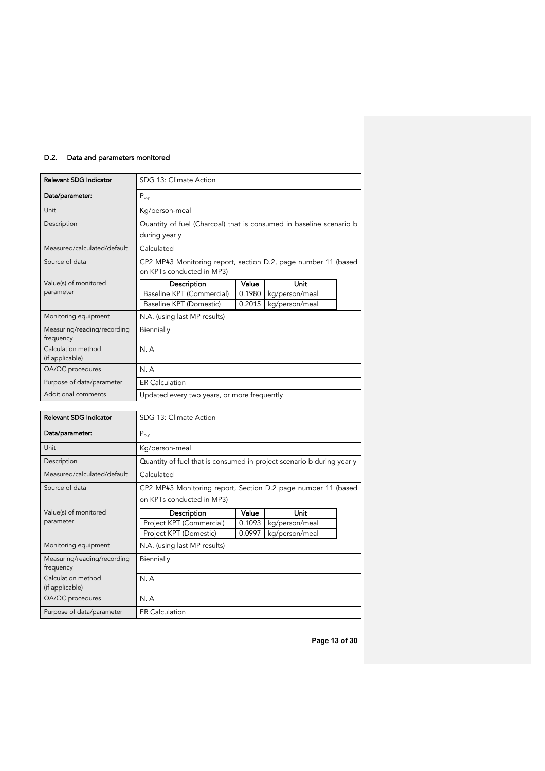# D.2. Data and parameters monitored

| <b>Relevant SDG Indicator</b>            | SDG 13: Climate Action                                                                      |        |                |  |
|------------------------------------------|---------------------------------------------------------------------------------------------|--------|----------------|--|
| Data/parameter:                          | $P_{b,y}$                                                                                   |        |                |  |
| Unit                                     | Kg/person-meal                                                                              |        |                |  |
| Description                              | Quantity of fuel (Charcoal) that is consumed in baseline scenario b<br>during year y        |        |                |  |
| Measured/calculated/default              | Calculated                                                                                  |        |                |  |
| Source of data                           | CP2 MP#3 Monitoring report, section D.2, page number 11 (based<br>on KPTs conducted in MP3) |        |                |  |
| Value(s) of monitored                    | Description                                                                                 | Value  | Unit           |  |
| parameter                                | Baseline KPT (Commercial)                                                                   | 0.1980 | kg/person/meal |  |
|                                          | Baseline KPT (Domestic)                                                                     | 0.2015 | kg/person/meal |  |
| Monitoring equipment                     | N.A. (using last MP results)                                                                |        |                |  |
| Measuring/reading/recording<br>frequency | Biennially                                                                                  |        |                |  |
| Calculation method<br>(if applicable)    | N.A                                                                                         |        |                |  |
| QA/QC procedures                         | N.A                                                                                         |        |                |  |
| Purpose of data/parameter                | <b>ER Calculation</b>                                                                       |        |                |  |
| Additional comments                      | Updated every two years, or more frequently                                                 |        |                |  |

| <b>Relevant SDG Indicator</b>            | SDG 13: Climate Action                                                |        |                |  |
|------------------------------------------|-----------------------------------------------------------------------|--------|----------------|--|
| Data/parameter:                          | $P_{p,y}$                                                             |        |                |  |
| Unit                                     | Kg/person-meal                                                        |        |                |  |
| Description                              | Quantity of fuel that is consumed in project scenario b during year y |        |                |  |
| Measured/calculated/default              | Calculated                                                            |        |                |  |
| Source of data                           | CP2 MP#3 Monitoring report, Section D.2 page number 11 (based         |        |                |  |
|                                          | on KPTs conducted in MP3)                                             |        |                |  |
| Value(s) of monitored                    | Description                                                           | Value  | Unit           |  |
| parameter                                | Project KPT (Commercial)                                              | 0.1093 | kg/person/meal |  |
|                                          | Project KPT (Domestic)                                                | 0.0997 | kg/person/meal |  |
| Monitoring equipment                     | N.A. (using last MP results)                                          |        |                |  |
| Measuring/reading/recording<br>frequency | Biennially                                                            |        |                |  |
| Calculation method<br>(if applicable)    | N.A                                                                   |        |                |  |
| QA/QC procedures                         | N.A                                                                   |        |                |  |
| Purpose of data/parameter                | <b>ER Calculation</b>                                                 |        |                |  |

**Page 13 of 30**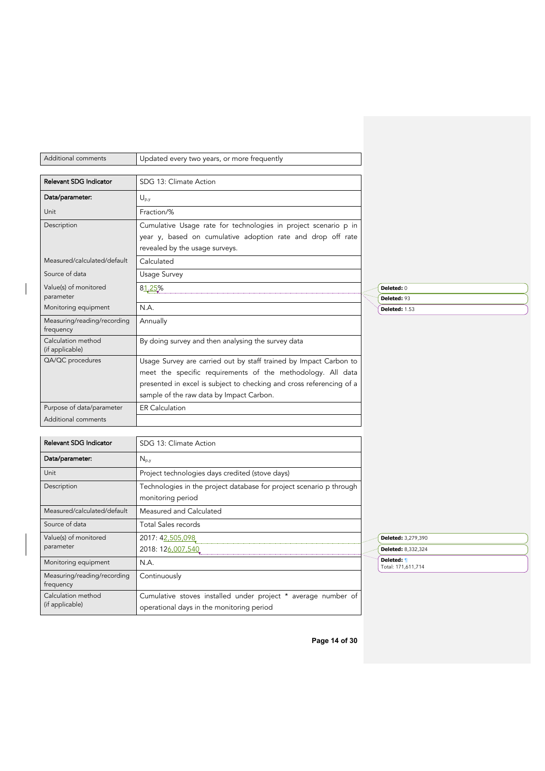| Additional comments                      | Updated every two years, or more frequently                                                                                                                                                                                                          |                                  |  |
|------------------------------------------|------------------------------------------------------------------------------------------------------------------------------------------------------------------------------------------------------------------------------------------------------|----------------------------------|--|
| Relevant SDG Indicator                   | SDG 13: Climate Action                                                                                                                                                                                                                               |                                  |  |
| Data/parameter:                          | $U_{p,y}$                                                                                                                                                                                                                                            |                                  |  |
| Unit                                     | Fraction/%                                                                                                                                                                                                                                           |                                  |  |
| Description                              | Cumulative Usage rate for technologies in project scenario p in<br>year y, based on cumulative adoption rate and drop off rate<br>revealed by the usage surveys.                                                                                     |                                  |  |
| Measured/calculated/default              | Calculated                                                                                                                                                                                                                                           |                                  |  |
| Source of data                           | Usage Survey                                                                                                                                                                                                                                         |                                  |  |
| Value(s) of monitored                    | 81,25%                                                                                                                                                                                                                                               | Deleted: 0                       |  |
| parameter                                |                                                                                                                                                                                                                                                      | Deleted: 93                      |  |
| Monitoring equipment                     | N.A.                                                                                                                                                                                                                                                 | Deleted: 1.53                    |  |
| Measuring/reading/recording<br>frequency | Annually                                                                                                                                                                                                                                             |                                  |  |
| Calculation method<br>(if applicable)    | By doing survey and then analysing the survey data                                                                                                                                                                                                   |                                  |  |
| QA/QC procedures                         | Usage Survey are carried out by staff trained by Impact Carbon to<br>meet the specific requirements of the methodology. All data<br>presented in excel is subject to checking and cross referencing of a<br>sample of the raw data by Impact Carbon. |                                  |  |
| Purpose of data/parameter                | <b>ER Calculation</b>                                                                                                                                                                                                                                |                                  |  |
| Additional comments                      |                                                                                                                                                                                                                                                      |                                  |  |
|                                          |                                                                                                                                                                                                                                                      |                                  |  |
| Relevant SDG Indicator                   | SDG 13: Climate Action                                                                                                                                                                                                                               |                                  |  |
| Data/parameter:                          | $N_{p,y}$                                                                                                                                                                                                                                            |                                  |  |
| Unit                                     | Project technologies days credited (stove days)                                                                                                                                                                                                      |                                  |  |
| Description                              | Technologies in the project database for project scenario p through<br>monitoring period                                                                                                                                                             |                                  |  |
| Measured/calculated/default              | Measured and Calculated                                                                                                                                                                                                                              |                                  |  |
| Source of data                           | <b>Total Sales records</b>                                                                                                                                                                                                                           |                                  |  |
| Value(s) of monitored                    | 2017: 42,505,098                                                                                                                                                                                                                                     | Deleted: 3,279,390               |  |
| parameter                                | 2018: 126,007,540                                                                                                                                                                                                                                    | Deleted: 8,332,324               |  |
| Monitoring equipment                     | N.A.                                                                                                                                                                                                                                                 | Deleted: 1<br>Total: 171,611,714 |  |
| Measuring/reading/recording<br>frequency | Continuously                                                                                                                                                                                                                                         |                                  |  |
| Calculation method<br>(if applicable)    | Cumulative stoves installed under project * average number of<br>operational days in the monitoring period                                                                                                                                           |                                  |  |

 $\overline{\phantom{a}}$ 

**Page 14 of 30**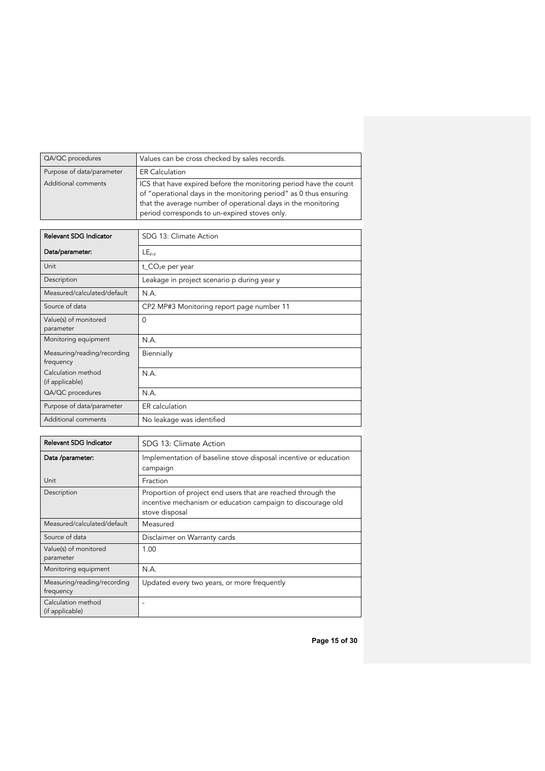| QA/QC procedures          | Values can be cross checked by sales records.                                                                                                                                                                                                            |
|---------------------------|----------------------------------------------------------------------------------------------------------------------------------------------------------------------------------------------------------------------------------------------------------|
| Purpose of data/parameter | <b>ER Calculation</b>                                                                                                                                                                                                                                    |
| Additional comments       | ICS that have expired before the monitoring period have the count<br>of "operational days in the monitoring period" as 0 thus ensuring<br>that the average number of operational days in the monitoring<br>period corresponds to un-expired stoves only. |

| Relevant SDG Indicator                   | SDG 13: Climate Action                      |
|------------------------------------------|---------------------------------------------|
| Data/parameter:                          | $LE_{p,y}$                                  |
| Unit                                     | $t_{C}O_{2}e$ per year                      |
| Description                              | Leakage in project scenario p during year y |
| Measured/calculated/default              | N.A.                                        |
| Source of data                           | CP2 MP#3 Monitoring report page number 11   |
| Value(s) of monitored<br>parameter       | $\Omega$                                    |
| Monitoring equipment                     | N.A.                                        |
| Measuring/reading/recording<br>frequency | Biennially                                  |
| Calculation method<br>(if applicable)    | N.A.                                        |
| QA/QC procedures                         | N.A.                                        |
| Purpose of data/parameter                | ER calculation                              |
| Additional comments                      | No leakage was identified                   |

| Relevant SDG Indicator                   | SDG 13: Climate Action                                                                                                                        |
|------------------------------------------|-----------------------------------------------------------------------------------------------------------------------------------------------|
| Data /parameter:                         | Implementation of baseline stove disposal incentive or education<br>campaign                                                                  |
| Unit                                     | Fraction                                                                                                                                      |
| Description                              | Proportion of project end users that are reached through the<br>incentive mechanism or education campaign to discourage old<br>stove disposal |
| Measured/calculated/default              | Measured                                                                                                                                      |
| Source of data                           | Disclaimer on Warranty cards                                                                                                                  |
| Value(s) of monitored<br>parameter       | 1.00                                                                                                                                          |
| Monitoring equipment                     | N.A.                                                                                                                                          |
| Measuring/reading/recording<br>frequency | Updated every two years, or more frequently                                                                                                   |
| Calculation method<br>(if applicable)    | ۰                                                                                                                                             |

**Page 15 of 30**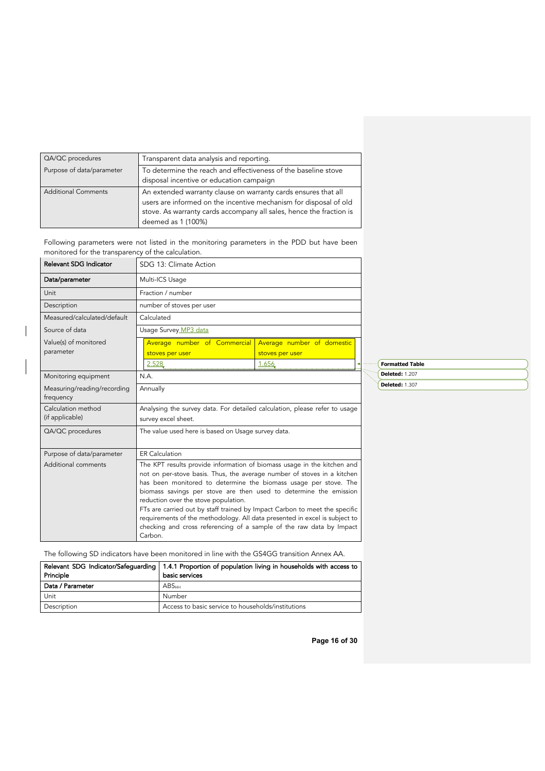| QA/QC procedures           | Transparent data analysis and reporting.                                                                                                                                                                                         |
|----------------------------|----------------------------------------------------------------------------------------------------------------------------------------------------------------------------------------------------------------------------------|
| Purpose of data/parameter  | To determine the reach and effectiveness of the baseline stove<br>disposal incentive or education campaign                                                                                                                       |
| <b>Additional Comments</b> | An extended warranty clause on warranty cards ensures that all<br>users are informed on the incentive mechanism for disposal of old<br>stove. As warranty cards accompany all sales, hence the fraction is<br>deemed as 1 (100%) |

Following parameters were not listed in the monitoring parameters in the PDD but have been monitored for the transparency of the calculation.

 $\overline{\phantom{a}}$ 

| Relevant SDG Indicator                   | SDG 13: Climate Action                                                                                                                                                                                                                                                                                                                                                                                                                                                                                                                                                             |                                               |  |                        |
|------------------------------------------|------------------------------------------------------------------------------------------------------------------------------------------------------------------------------------------------------------------------------------------------------------------------------------------------------------------------------------------------------------------------------------------------------------------------------------------------------------------------------------------------------------------------------------------------------------------------------------|-----------------------------------------------|--|------------------------|
| Data/parameter                           | Multi-ICS Usage                                                                                                                                                                                                                                                                                                                                                                                                                                                                                                                                                                    |                                               |  |                        |
| Unit                                     | Fraction / number                                                                                                                                                                                                                                                                                                                                                                                                                                                                                                                                                                  |                                               |  |                        |
| Description                              | number of stoves per user                                                                                                                                                                                                                                                                                                                                                                                                                                                                                                                                                          |                                               |  |                        |
| Measured/calculated/default              | Calculated                                                                                                                                                                                                                                                                                                                                                                                                                                                                                                                                                                         |                                               |  |                        |
| Source of data                           | Usage Survey MP3 data                                                                                                                                                                                                                                                                                                                                                                                                                                                                                                                                                              |                                               |  |                        |
| Value(s) of monitored<br>parameter       | Average number of Commercial<br>stoves per user                                                                                                                                                                                                                                                                                                                                                                                                                                                                                                                                    | Average number of domestic<br>stoves per user |  |                        |
|                                          | 2.528                                                                                                                                                                                                                                                                                                                                                                                                                                                                                                                                                                              | 1.656                                         |  | <b>Formatted Table</b> |
| Monitoring equipment                     | N.A.                                                                                                                                                                                                                                                                                                                                                                                                                                                                                                                                                                               |                                               |  | <b>Deleted: 1.207</b>  |
| Measuring/reading/recording<br>frequency | <b>Deleted: 1.307</b><br>Annually                                                                                                                                                                                                                                                                                                                                                                                                                                                                                                                                                  |                                               |  |                        |
| Calculation method<br>(if applicable)    | Analysing the survey data. For detailed calculation, please refer to usage<br>survey excel sheet.                                                                                                                                                                                                                                                                                                                                                                                                                                                                                  |                                               |  |                        |
| QA/QC procedures                         | The value used here is based on Usage survey data.                                                                                                                                                                                                                                                                                                                                                                                                                                                                                                                                 |                                               |  |                        |
| Purpose of data/parameter                | <b>ER Calculation</b>                                                                                                                                                                                                                                                                                                                                                                                                                                                                                                                                                              |                                               |  |                        |
| Additional comments                      | The KPT results provide information of biomass usage in the kitchen and<br>not on per-stove basis. Thus, the average number of stoves in a kitchen<br>has been monitored to determine the biomass usage per stove. The<br>biomass savings per stove are then used to determine the emission<br>reduction over the stove population.<br>FTs are carried out by staff trained by Impact Carbon to meet the specific<br>requirements of the methodology. All data presented in excel is subject to<br>checking and cross referencing of a sample of the raw data by Impact<br>Carbon. |                                               |  |                        |

The following SD indicators have been monitored in line with the GS4GG transition Annex AA.

|                  | Relevant SDG Indicator/Safequarding   1.4.1 Proportion of population living in households with access to |
|------------------|----------------------------------------------------------------------------------------------------------|
| Principle        | basic services                                                                                           |
| Data / Parameter | ABS <sub>HH</sub>                                                                                        |
| Unit             | Number                                                                                                   |
| Description      | Access to basic service to households/institutions                                                       |

**Page 16 of 30**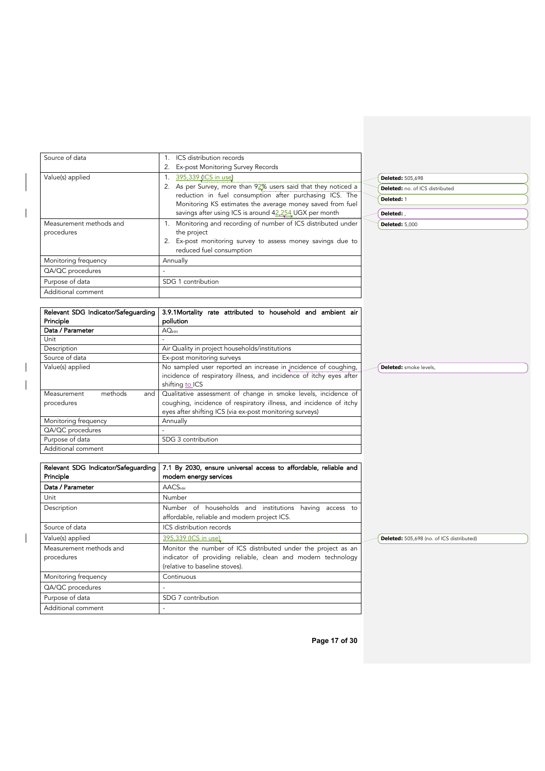| Source of data          | ICS distribution records                                                                                                           |
|-------------------------|------------------------------------------------------------------------------------------------------------------------------------|
|                         | Ex-post Monitoring Survey Records                                                                                                  |
| Value(s) applied        | 395,339 (ICS in use)<br><b>Deleted: 505,698</b>                                                                                    |
|                         | As per Survey, more than $92\%$ users said that they noticed a<br><b>Deleted:</b> no. of ICS distributed                           |
|                         | reduction in fuel consumption after purchasing ICS. The<br>Deleted: 1<br>Monitoring KS estimates the average money saved from fuel |
|                         | savings after using ICS is around 42,254 UGX per month<br>Deleted:                                                                 |
| Measurement methods and | Monitoring and recording of number of ICS distributed under<br><b>Deleted: 5,000</b>                                               |
| procedures              | the project                                                                                                                        |
|                         | Ex-post monitoring survey to assess money savings due to<br>reduced fuel consumption                                               |
| Monitoring frequency    | Annually                                                                                                                           |
| QA/QC procedures        |                                                                                                                                    |
| Purpose of data         | SDG 1 contribution                                                                                                                 |
| Additional comment      |                                                                                                                                    |
|                         |                                                                                                                                    |
|                         | Relevant SDG Indicator/Safeguarding   3.9.1Mortality rate attributed to household and ambient air                                  |

 $\overline{\phantom{a}}$ 

 $\overline{\phantom{a}}$  $\overline{\phantom{a}}$ 

 $\overline{\phantom{a}}$ 

| Principle                     | pollution                                                           |                               |
|-------------------------------|---------------------------------------------------------------------|-------------------------------|
| Data / Parameter              | AO <sub>HH</sub>                                                    |                               |
| Unit                          |                                                                     |                               |
| Description                   | Air Quality in project households/institutions                      |                               |
| Source of data                | Ex-post monitoring surveys                                          |                               |
| Value(s) applied              | No sampled user reported an increase in incidence of coughing,      | <b>Deleted:</b> smoke levels, |
|                               | incidence of respiratory illness, and incidence of itchy eyes after |                               |
|                               | shifting to ICS                                                     |                               |
| methods<br>Measurement<br>and | Qualitative assessment of change in smoke levels, incidence of      |                               |
| procedures                    | coughing, incidence of respiratory illness, and incidence of itchy  |                               |
|                               | eyes after shifting ICS (via ex-post monitoring surveys)            |                               |
| Monitoring frequency          | Annually                                                            |                               |
| QA/QC procedures              |                                                                     |                               |
| Purpose of data               | SDG 3 contribution                                                  |                               |
| Additional comment            |                                                                     |                               |

| Relevant SDG Indicator/Safequarding   | 7.1 By 2030, ensure universal access to affordable, reliable and                                                                                                |                                           |
|---------------------------------------|-----------------------------------------------------------------------------------------------------------------------------------------------------------------|-------------------------------------------|
| Principle                             | modern energy services                                                                                                                                          |                                           |
| Data / Parameter                      | <b>AACS<sub>HH</sub></b>                                                                                                                                        |                                           |
| Unit                                  | Number                                                                                                                                                          |                                           |
| Description                           | Number of households and institutions having access to<br>affordable, reliable and modern project ICS.                                                          |                                           |
| Source of data                        | ICS distribution records                                                                                                                                        |                                           |
| Value(s) applied                      | 395,339 (ICS in use)                                                                                                                                            | Deleted: 505,698 (no. of ICS distributed) |
| Measurement methods and<br>procedures | Monitor the number of ICS distributed under the project as an<br>indicator of providing reliable, clean and modern technology<br>(relative to baseline stoves). |                                           |
| Monitoring frequency                  | Continuous                                                                                                                                                      |                                           |
| QA/QC procedures                      |                                                                                                                                                                 |                                           |
| Purpose of data                       | SDG 7 contribution                                                                                                                                              |                                           |
| Additional comment                    |                                                                                                                                                                 |                                           |

**Page 17 of 30**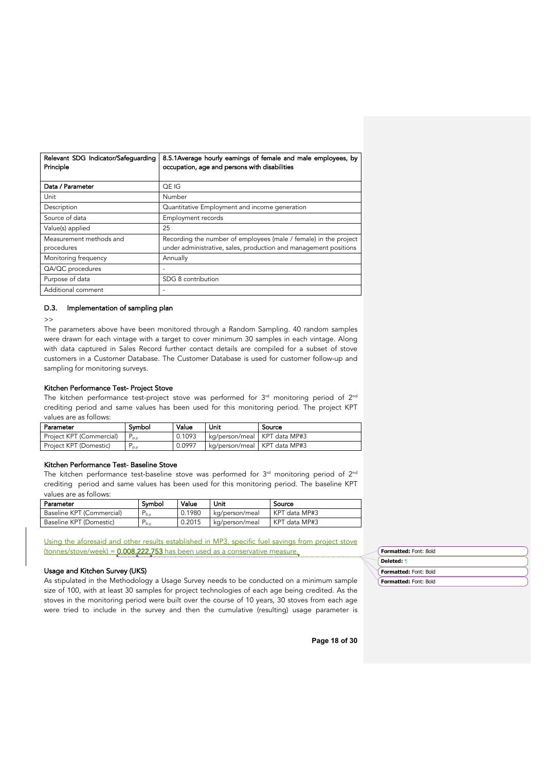| Relevant SDG Indicator/Safeguarding<br>Principle | 8.5.1 Average hourly earnings of female and male employees, by<br>occupation, age and persons with disabilities                      |
|--------------------------------------------------|--------------------------------------------------------------------------------------------------------------------------------------|
| Data / Parameter                                 | OE IG                                                                                                                                |
| Unit                                             | Number                                                                                                                               |
| Description                                      | Quantitative Employment and income generation                                                                                        |
| Source of data                                   | Employment records                                                                                                                   |
| Value(s) applied                                 | 25                                                                                                                                   |
| Measurement methods and<br>procedures            | Recording the number of employees (male / female) in the project<br>under administrative, sales, production and management positions |
| Monitoring frequency                             | Annually                                                                                                                             |
| QA/QC procedures                                 | $\overline{\phantom{a}}$                                                                                                             |
| Purpose of data                                  | SDG 8 contribution                                                                                                                   |
| Additional comment                               |                                                                                                                                      |

### D.3. Implementation of sampling plan

 $\gt$ 

The parameters above have been monitored through a Random Sampling. 40 random samples were drawn for each vintage with a target to cover minimum 30 samples in each vintage. Along with data captured in Sales Record further contact details are compiled for a subset of stove customers in a Customer Database. The Customer Database is used for customer follow-up and sampling for monitoring surveys.

### Kitchen Performance Test- Project Stove

The kitchen performance test-project stove was performed for  $3<sup>rd</sup>$  monitoring period of  $2<sup>nd</sup>$ crediting period and same values has been used for this monitoring period. The project KPT values are as follows:

| Parameter                | Symbol           | Value  | Unit                           | Source |
|--------------------------|------------------|--------|--------------------------------|--------|
| Project KPT (Commercial) | $P_{\text{p.v}}$ | 0.1093 | kg/person/meal   KPT data MP#3 |        |
| Project KPT (Domestic)   | $'$ p,y          | 0.0997 | kg/person/meal   KPT data MP#3 |        |

### Kitchen Performance Test- Baseline Stove

The kitchen performance test-baseline stove was performed for  $3<sup>rd</sup>$  monitoring period of  $2<sup>nd</sup>$ crediting period and same values has been used for this monitoring period. The baseline KPT values are as follows:

| Parameter                 | Symbol    | Value  | Unit           | Source        |
|---------------------------|-----------|--------|----------------|---------------|
| Baseline KPT (Commercial) | $P_{b.v}$ | 0.1980 | kg/person/meal | KPT data MP#3 |
| Baseline KPT (Domestic)   | l b.v     | 0.2015 | kg/person/meal | KPT data MP#3 |

Using the aforesaid and other results established in MP3, specific fuel savings from project stove  $(tonnes/store/week) = 0.008,222,753$  has been used as a conservative measure.

### Usage and Kitchen Survey (UKS)

As stipulated in the Methodology a Usage Survey needs to be conducted on a minimum sample size of 100, with at least 30 samples for project technologies of each age being credited. As the stoves in the monitoring period were built over the course of 10 years, 30 stoves from each age were tried to include in the survey and then the cumulative (resulting) usage parameter is

| Formatted: Font: Bold |  |
|-----------------------|--|
| Deleted: 1            |  |
| Formatted: Font: Bold |  |
| Formatted: Font: Bold |  |

**Page 18 of 30**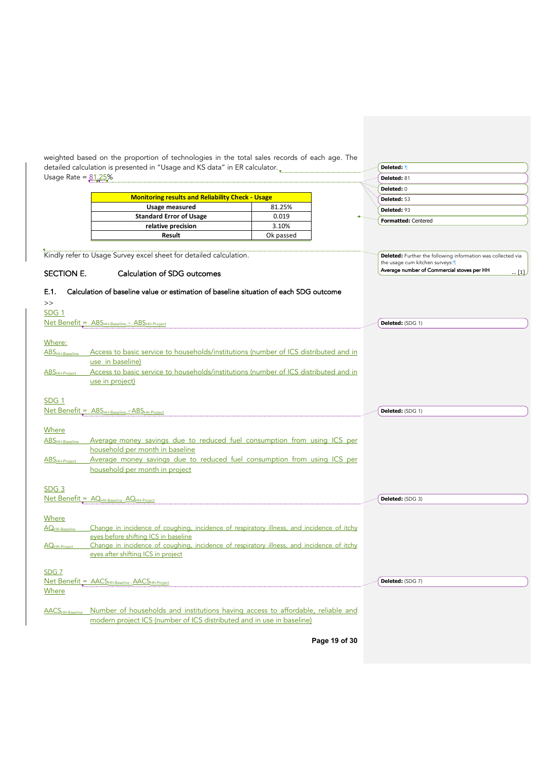weighted based on the proportion of technologies in the total sales records of each age. The detailed calculation is presented in "Usage and KS data" in ER calculator. Usage Rate =  $81.25%$ Kindly refer to Usage Survey excel sheet for detailed calculation. SECTION E. Calculation of SDG outcomes E.1. Calculation of baseline value or estimation of baseline situation of each SDG outcome >> SDG 1 Net Benefit = ABS<sub>HH-Baseline</sub> - ABS<sub>HH-Project</sub> Where: ABS<sub>HH-Baseline</sub> Access to basic service to households/institutions (number of ICS distributed and in use in baseline) ABS<sub>HH-Project</sub> Access to basic service to households/institutions (number of ICS distributed and in use in project) SDG 1 Net Benefit = ABS<sub>HH-Baseline</sub> - ABS<sub>HH-Project</sub> Where ABS<sub>HH-Baseline</sub> Average money savings due to reduced fuel consumption from using ICS per household per month in baseline ABSHH-Project Average money savings due to reduced fuel consumption from using ICS per household per month in project SDG 3 Net Benefit = AQHH-Baseline -AQHH-Project **Where** AQ<sub>HH-Baseline</sub> Change in incidence of coughing, incidence of respiratory illness, and incidence of itchy eyes before shifting ICS in baseline AQ<sub>HH-Project</sub> Change in incidence of coughing, incidence of respiratory illness, and incidence of itchy eyes after shifting ICS in project SDG 7 Net Benefit = AACSHH-Baseline -AACSHH-Project **Where** AACS<sub>HH-Baseline</sub> Number of households and institutions having access to affordable, reliable and modern project ICS (number of ICS distributed and in use in baseline) Usage measured 81.25% **Standard Error of Usage** 0.019 **relative precision** 3.10% **Result** Ok passed **Monitoring results and Reliability Check - Usage Deleted:** ¶ **Deleted:** 81 **Deleted:** 0 **Deleted:** 53 **Deleted:** 93 **Formatted:** Centered **Deleted:** Further the following information was collected via the usage cum kitchen surveys: Average number of Commercial stoves per HH ... [1] **Deleted:** (SDG 1) **Deleted:** (SDG 1) **Deleted:** (SDG 3) **Deleted:** (SDG 7)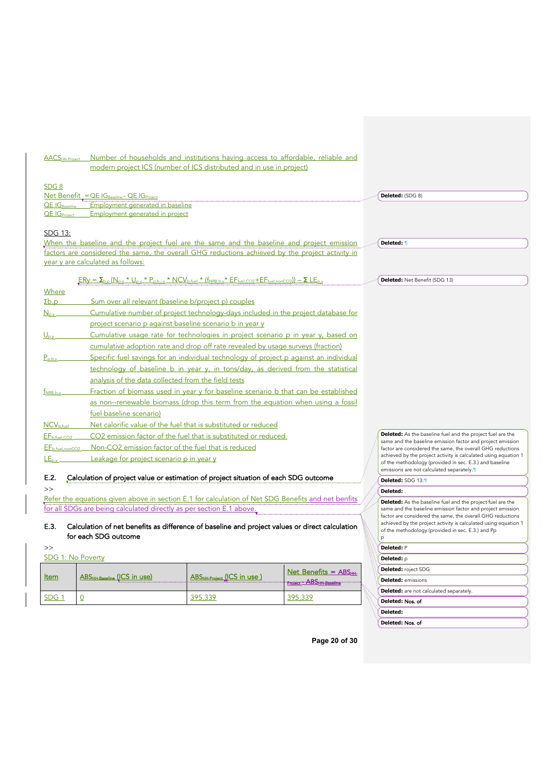| <b>AACS</b> HH-Project                                                                                                                                                                                             | Number of households and institutions having access to affordable, reliable and<br>modern project ICS (number of ICS distributed and in use in project)                                                                                                                                                                                                                                                                                                                                                                                                                                                                                                                                                                                                                                                                                                                                                                                                                                                                                                      |                                        |                           |                                                                                                                                                                                                                                                                                                                                                                         |
|--------------------------------------------------------------------------------------------------------------------------------------------------------------------------------------------------------------------|--------------------------------------------------------------------------------------------------------------------------------------------------------------------------------------------------------------------------------------------------------------------------------------------------------------------------------------------------------------------------------------------------------------------------------------------------------------------------------------------------------------------------------------------------------------------------------------------------------------------------------------------------------------------------------------------------------------------------------------------------------------------------------------------------------------------------------------------------------------------------------------------------------------------------------------------------------------------------------------------------------------------------------------------------------------|----------------------------------------|---------------------------|-------------------------------------------------------------------------------------------------------------------------------------------------------------------------------------------------------------------------------------------------------------------------------------------------------------------------------------------------------------------------|
| SDG <sub>8</sub><br><b>QE IGRASPline</b><br><b>QE IG</b> Project                                                                                                                                                   | Net Benefit = $QE$ $IG_{\text{Baseline}}$ - $QE$ $IG_{\text{Project}}$<br>Employment generated in baseline<br><b>Employment generated in project</b>                                                                                                                                                                                                                                                                                                                                                                                                                                                                                                                                                                                                                                                                                                                                                                                                                                                                                                         |                                        |                           | Deleted: (SDG 8)                                                                                                                                                                                                                                                                                                                                                        |
| SDG 13:                                                                                                                                                                                                            | When the baseline and the project fuel are the same and the baseline and project emission<br>factors are considered the same, the overall GHG reductions achieved by the project activity in<br>year y are calculated as follows:                                                                                                                                                                                                                                                                                                                                                                                                                                                                                                                                                                                                                                                                                                                                                                                                                            |                                        |                           | Deleted: 1                                                                                                                                                                                                                                                                                                                                                              |
|                                                                                                                                                                                                                    | $FRy = \Sigma_{b,p} (N_{p,y} * U_{p,y} * P_{p,b,i,y} * NCV_{b,fuel} * (f_{NRB,b,y} * EF_{fuel,CO2} + EF_{fuel,nonCO2})) - \Sigma LE_{p,y}$                                                                                                                                                                                                                                                                                                                                                                                                                                                                                                                                                                                                                                                                                                                                                                                                                                                                                                                   |                                        |                           | Deleted: Net Benefit (SDG 13)                                                                                                                                                                                                                                                                                                                                           |
| Where<br>$\mathsf{Zb}, \mathsf{p}$<br>$N_{\rm p.v.}$<br>$\underline{\bigcup}_{p,v}$<br>$P_{\rho,b,y}$<br>$t_{NRB,b,v}$<br>$NCV_{b, fuel}$<br>EF <sub>b,fuel,CO2</sub><br>EF <sub>b,fuel,nonCO2</sub><br>$LE_{p.v}$ | Sum over all relevant (baseline b/project p) couples<br>Cumulative number of project technology-days included in the project database for<br>project scenario p against baseline scenario b in year y<br>Cumulative usage rate for technologies in project scenario p in year y, based on<br>cumulative adoption rate and drop off rate revealed by usage surveys (fraction)<br>Specific fuel savings for an individual technology of project p against an individual<br>technology of baseline b in year y, in tons/day, as derived from the statistical<br>analysis of the data collected from the field tests<br>Fraction of biomass used in year y for baseline scenario b that can be established<br>as non--renewable biomass (drop this term from the equation when using a fossil<br>fuel baseline scenario)<br>Net calorific value of the fuel that is substituted or reduced<br>CO2 emission factor of the fuel that is substituted or reduced.<br>Non-CO2 emission factor of the fuel that is reduced<br>Leakage for project scenario p in year y |                                        |                           | <b>Deleted:</b> As the baseline fuel and the project fuel are the<br>same and the baseline emission factor and project emission<br>factor are considered the same, the overall GHG reductions<br>achieved by the project activity is calculated using equation 1<br>of the methodology (provided in sec. E.3.) and baseline<br>emissions are not calculated separately. |
| E.2.                                                                                                                                                                                                               | Calculation of project value or estimation of project situation of each SDG outcome                                                                                                                                                                                                                                                                                                                                                                                                                                                                                                                                                                                                                                                                                                                                                                                                                                                                                                                                                                          |                                        |                           | Deleted: SDG 13:1                                                                                                                                                                                                                                                                                                                                                       |
| >                                                                                                                                                                                                                  |                                                                                                                                                                                                                                                                                                                                                                                                                                                                                                                                                                                                                                                                                                                                                                                                                                                                                                                                                                                                                                                              |                                        |                           | Deleted:                                                                                                                                                                                                                                                                                                                                                                |
| E.3.                                                                                                                                                                                                               | Refer the equations given above in section E.1 for calculation of Net SDG Benefits and net benfits<br>for all SDGs are being calculated directly as per section E.1 above.<br>Calculation of net benefits as difference of baseline and project values or direct calculation<br>for each SDG outcome                                                                                                                                                                                                                                                                                                                                                                                                                                                                                                                                                                                                                                                                                                                                                         |                                        |                           | Deleted: As the baseline fuel and the project fuel are the<br>same and the baseline emission factor and project emission<br>factor are considered the same, the overall GHG reductions<br>achieved by the project activity is calculated using equation 1<br>of the methodology (provided in sec. E.3.) and Pp                                                          |
| >>                                                                                                                                                                                                                 |                                                                                                                                                                                                                                                                                                                                                                                                                                                                                                                                                                                                                                                                                                                                                                                                                                                                                                                                                                                                                                                              |                                        |                           | Deleted: P                                                                                                                                                                                                                                                                                                                                                              |
| <b>SDG 1: No Poverty</b>                                                                                                                                                                                           |                                                                                                                                                                                                                                                                                                                                                                                                                                                                                                                                                                                                                                                                                                                                                                                                                                                                                                                                                                                                                                                              |                                        |                           | Deleted: p                                                                                                                                                                                                                                                                                                                                                              |
|                                                                                                                                                                                                                    |                                                                                                                                                                                                                                                                                                                                                                                                                                                                                                                                                                                                                                                                                                                                                                                                                                                                                                                                                                                                                                                              |                                        | Net Benefits = $ABS_{HH}$ | Deleted: roject SDG                                                                                                                                                                                                                                                                                                                                                     |
| <u>Item</u>                                                                                                                                                                                                        | ABSHH-Baseline (ICS in use)                                                                                                                                                                                                                                                                                                                                                                                                                                                                                                                                                                                                                                                                                                                                                                                                                                                                                                                                                                                                                                  | ABS <sub>HH-Project</sub> (ICS in use) | Project - ABSHH-Baseline  | <b>Deleted:</b> emissions                                                                                                                                                                                                                                                                                                                                               |
|                                                                                                                                                                                                                    |                                                                                                                                                                                                                                                                                                                                                                                                                                                                                                                                                                                                                                                                                                                                                                                                                                                                                                                                                                                                                                                              |                                        |                           | <b>Deleted:</b> are not calculated separately.                                                                                                                                                                                                                                                                                                                          |
| SDG <sub>1</sub>                                                                                                                                                                                                   | 0                                                                                                                                                                                                                                                                                                                                                                                                                                                                                                                                                                                                                                                                                                                                                                                                                                                                                                                                                                                                                                                            | 395,339                                | 395,339                   | Deleted: Nos. of                                                                                                                                                                                                                                                                                                                                                        |
|                                                                                                                                                                                                                    |                                                                                                                                                                                                                                                                                                                                                                                                                                                                                                                                                                                                                                                                                                                                                                                                                                                                                                                                                                                                                                                              |                                        |                           | Deleted:                                                                                                                                                                                                                                                                                                                                                                |

**Page 20 of 30**

Deleted: Nos. of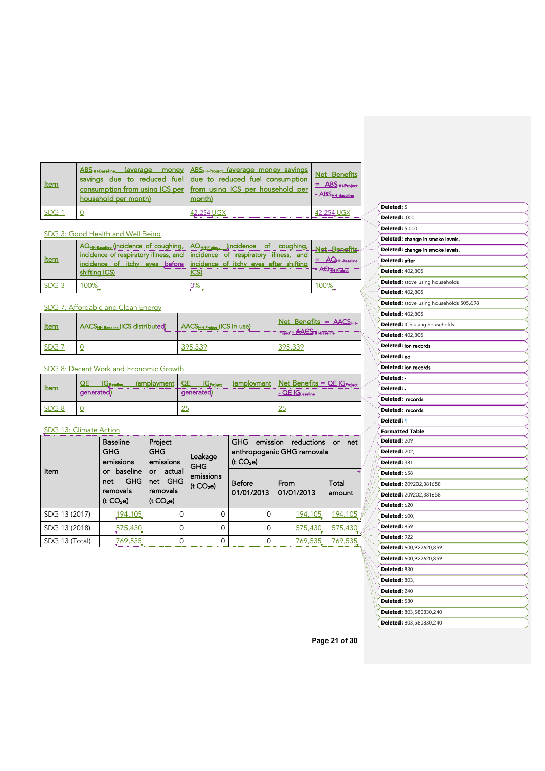| Item             | household per month) | ABS <sub>HH-Baseline</sub> (average money ABS <sub>HH-Project</sub> (average money savings Net Benefits<br>savings due to reduced fuel due to reduced fuel consumption<br>consumption from using ICS per   from using ICS per household per<br>month) | $=$ ABS $_{HH\text{-}Project}$<br>$ \overline{ABS}_{HH\text{-}Baseline}$ |
|------------------|----------------------|-------------------------------------------------------------------------------------------------------------------------------------------------------------------------------------------------------------------------------------------------------|--------------------------------------------------------------------------|
| SDG <sub>1</sub> |                      | 42,254 UGX                                                                                                                                                                                                                                            | 42.254 UGX                                                               |

# SDG 3: Good Health and Well Being

| :em | AQ <sub>HH-Baseline</sub> (incidence of coughing, AQ <sub>HH-Project</sub> (incidence<br>incidence of respiratory illness, and   incidence of respiratory<br>incidence of itchy<br>eves<br>hiftina ICS) | coughing,<br>ot a<br>illness, and<br>before incidence of itchy eyes after shifting | <b>JHH-Project</b> |
|-----|---------------------------------------------------------------------------------------------------------------------------------------------------------------------------------------------------------|------------------------------------------------------------------------------------|--------------------|
|     |                                                                                                                                                                                                         |                                                                                    |                    |

# SDG 7: Affordable and Clean Energy

| ltem | <b>AACSHH-Baseline (ICS distributed)</b> | $\vert$ AACS $_{HH\text{-Project}}$ (ICS in use) | Net Benefits = $AACSHH$<br>Project - AACSHH-Baseline |
|------|------------------------------------------|--------------------------------------------------|------------------------------------------------------|
| SDG  |                                          |                                                  | 395 339                                              |

# SDG 8: Decent Work and Economic Growth

|  | (employment | Net Benefits = $QE$ IG <sub>p</sub> |
|--|-------------|-------------------------------------|
|  |             |                                     |
|  |             |                                     |
|  |             |                                     |

# SDG 13: Climate Action

| Item           | <b>Baseline</b><br><b>GHG</b><br>emissions<br>baseline<br>or | Project<br><b>GHG</b><br>emissions<br>actual<br>or<br>GHG<br>net<br>removals<br>(t CO <sub>2</sub> e) | Leakage<br><b>GHG</b><br>emissions<br>(t CO <sub>2</sub> e) | <b>GHG</b><br>emission<br>reductions<br>net<br>or<br>anthropogenic GHG removals<br>(t CO <sub>2</sub> e) |                    |                 |
|----------------|--------------------------------------------------------------|-------------------------------------------------------------------------------------------------------|-------------------------------------------------------------|----------------------------------------------------------------------------------------------------------|--------------------|-----------------|
|                | <b>GHG</b><br>net<br>removals<br>(t CO <sub>2</sub> e)       |                                                                                                       |                                                             | Before<br>01/01/2013                                                                                     | From<br>01/01/2013 | Total<br>amount |
| SDG 13 (2017)  | 194.105                                                      |                                                                                                       |                                                             |                                                                                                          | 194.105            | 194.105         |
| SDG 13 (2018)  | 575.430                                                      |                                                                                                       |                                                             |                                                                                                          | 575.430            | 575.430         |
| SDG 13 (Total) | 769.535                                                      |                                                                                                       |                                                             |                                                                                                          | 769.535            | 769.535         |

| Deleted: 5              |                                         |
|-------------------------|-----------------------------------------|
| Deleted: ,000           |                                         |
| <b>Deleted: 5,000</b>   |                                         |
|                         | Deleted: change in smoke levels,        |
|                         | Deleted: change in smoke levels,        |
| Deleted: after          |                                         |
| <b>Deleted: 402,805</b> |                                         |
|                         | <b>Deleted:</b> stove using households  |
| <b>Deleted: 402,805</b> |                                         |
|                         | Deleted: stove using households 505,698 |
| Deleted: 402,805        |                                         |
|                         | Deleted: ICS using households           |
| <b>Deleted: 402,805</b> |                                         |
|                         | Deleted: ion records                    |
| Deleted: ed             |                                         |
|                         | Deleted: ion records                    |
| Deleted: -              |                                         |
| Deleted: -              |                                         |
| Deleted: records        |                                         |
| Deleted: records        |                                         |
| Deleted: 1              |                                         |
| <b>Formatted Table</b>  |                                         |
| Deleted: 209            |                                         |
| <b>Deleted: 202,</b>    |                                         |
| Deleted: 381            |                                         |
| Deleted: 658            |                                         |
|                         | Deleted: 209202,381658                  |
|                         | Deleted: 209202,381658                  |
| Deleted: 620            |                                         |
| <b>Deleted: 600,</b>    |                                         |
| Deleted: 859            |                                         |
| Deleted: 922            |                                         |
|                         | Deleted: 600,922620,859                 |
|                         | Deleted: 600,922620,859                 |
| Deleted: 830            |                                         |
| Deleted: 803,           |                                         |
| Deleted: 240            |                                         |
| Deleted: 580            |                                         |
|                         | Deleted: 803,580830,240                 |
|                         | Deleted: 803,580830,240                 |

**Page 21 of 30**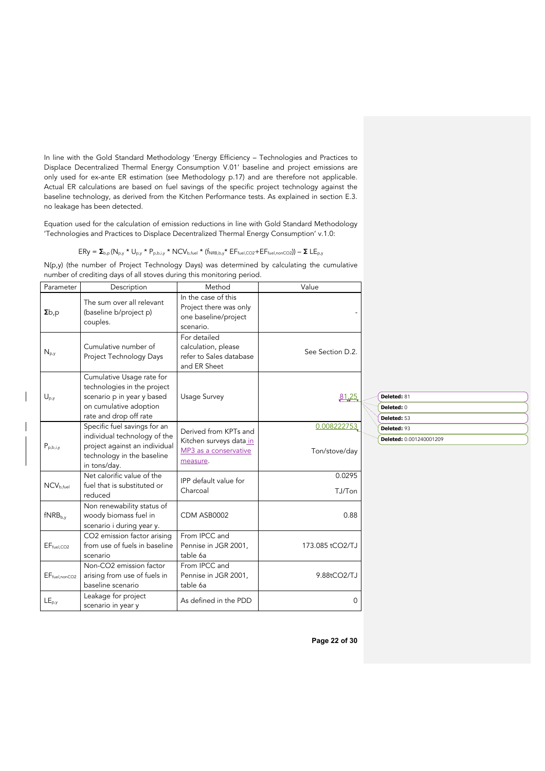In line with the Gold Standard Methodology 'Energy Efficiency – Technologies and Practices to Displace Decentralized Thermal Energy Consumption V.01' baseline and project emissions are only used for ex-ante ER estimation (see Methodology p.17) and are therefore not applicable. Actual ER calculations are based on fuel savings of the specific project technology against the baseline technology, as derived from the Kitchen Performance tests. As explained in section E.3. no leakage has been detected.

Equation used for the calculation of emission reductions in line with Gold Standard Methodology 'Technologies and Practices to Displace Decentralized Thermal Energy Consumption' v.1.0:

$$
\text{ERy} = \Sigma_{\text{b,p}}(N_{\text{p,y}} \star U_{\text{p,y}} \star P_{\text{p,b,i,y}} \star NCV_{\text{b,fuel}} \star (f_{\text{NRB,b,y}} \star EF_{\text{fuel},\text{CO2}} + EF_{\text{fuel},\text{nonCO2}})) - \Sigma \;LE_{\text{p,y}}
$$

N(p,y) (the number of Project Technology Days) was determined by calculating the cumulative number of crediting days of all stoves during this monitoring period.

| Parameter              | Description                                                                                                                                 | Method                                                                                | Value                        |
|------------------------|---------------------------------------------------------------------------------------------------------------------------------------------|---------------------------------------------------------------------------------------|------------------------------|
| $\Sigma b, p$          | The sum over all relevant<br>(baseline b/project p)<br>couples.                                                                             | In the case of this<br>Project there was only<br>one baseline/project<br>scenario.    |                              |
| $N_{p,y}$              | Cumulative number of<br>Project Technology Days                                                                                             | For detailed<br>calculation, please<br>refer to Sales database<br>and ER Sheet        | See Section D.2.             |
| $U_{p,y}$              | Cumulative Usage rate for<br>technologies in the project<br>scenario p in year y based<br>on cumulative adoption<br>rate and drop off rate  | Usage Survey                                                                          | <u>81.25</u>                 |
| $P_{p,b,i,y}$          | Specific fuel savings for an<br>individual technology of the<br>project against an individual<br>technology in the baseline<br>in tons/day. | Derived from KPTs and<br>Kitchen surveys data_in<br>MP3 as a conservative<br>measure. | 0.008222753<br>Ton/stove/day |
| $NCV_{b.fuel}$         | Net calorific value of the<br>fuel that is substituted or<br>reduced                                                                        | IPP default value for<br>Charcoal                                                     | 0.0295<br>TJ/Ton             |
| $fNRB_{b,y}$           | Non renewability status of<br>woody biomass fuel in<br>scenario i during year y.                                                            | CDM ASB0002                                                                           | 0.88                         |
| EF <sub>fuel,CO2</sub> | CO2 emission factor arising<br>from use of fuels in baseline<br>scenario                                                                    | From IPCC and<br>Pennise in JGR 2001,<br>table 6a                                     | 173.085 tCO2/TJ              |
| $EF_{fuel, nonCO2}$    | Non-CO2 emission factor<br>arising from use of fuels in<br>baseline scenario                                                                | From IPCC and<br>Pennise in JGR 2001,<br>table 6a                                     | 9.88tCO2/TJ                  |
| $LE_{p,y}$             | Leakage for project<br>scenario in year y                                                                                                   | As defined in the PDD                                                                 | 0                            |

| Deleted: 81             |
|-------------------------|
| Deleted: 0              |
| Deleted: 53             |
| Deleted: 93             |
|                         |
| Deleted: 0.001240001209 |

**Page 22 of 30**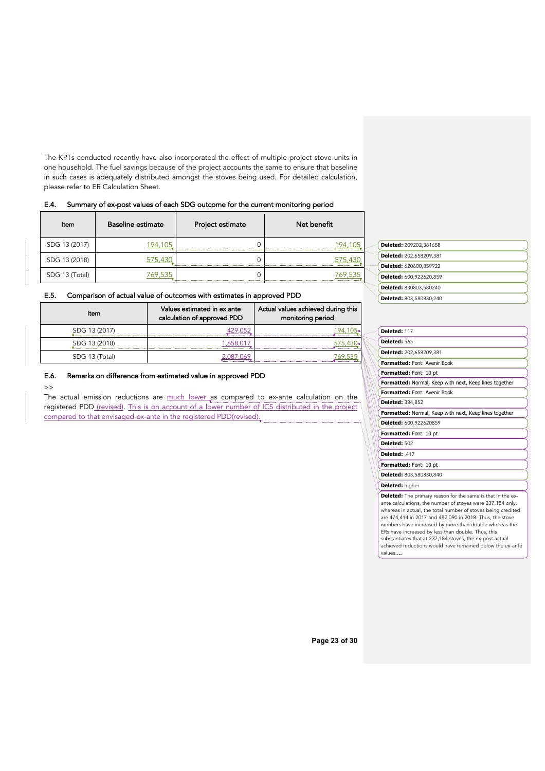The KPTs conducted recently have also incorporated the effect of multiple project stove units in one household. The fuel savings because of the project accounts the same to ensure that baseline in such cases is adequately distributed amongst the stoves being used. For detailed calculation, please refer to ER Calculation Sheet.

# E.4. Summary of ex-post values of each SDG outcome for the current monitoring period

| Item           | <b>Baseline estimate</b> | Project estimate | Net benefit |
|----------------|--------------------------|------------------|-------------|
| SDG 13 (2017)  |                          |                  |             |
| SDG 13 (2018)  |                          |                  |             |
| SDG 13 (Total) |                          |                  |             |

# E.5. Comparison of actual value of outcomes with estimates in approved PDD

| Item           | Values estimated in ex ante<br>calculation of approved PDD | Actual values achieved during this<br>monitoring period |
|----------------|------------------------------------------------------------|---------------------------------------------------------|
| SDG 13 (2017)  |                                                            |                                                         |
| SDG 13 (2018)  |                                                            |                                                         |
| SDG 13 (Total) |                                                            |                                                         |

# E.6. Remarks on difference from estimated value in approved PDD

### >>

The actual emission reductions are much lower as compared to ex-ante calculation on the registered PDD (revised). This is on account of a lower number of ICS distributed in the project compared to that envisaged-ex-ante in the registered PDD(revised).

| Deleted: 209202,381658  |
|-------------------------|
| Deleted: 202.658209.381 |
| Deleted: 620600,859922  |
| Deleted: 600,922620,859 |
| Deleted: 830803,580240  |
| Deleted: 803,580830,240 |
|                         |

### **Deleted:** 117

erti<br>1999

|  | Deleted: 565                                                                                                                                                                                                                                                                                                           |  |  |  |
|--|------------------------------------------------------------------------------------------------------------------------------------------------------------------------------------------------------------------------------------------------------------------------------------------------------------------------|--|--|--|
|  | Deleted: 202,658209,381                                                                                                                                                                                                                                                                                                |  |  |  |
|  | <b>Formatted: Font: Avenir Book</b>                                                                                                                                                                                                                                                                                    |  |  |  |
|  | Formatted: Font: 10 pt                                                                                                                                                                                                                                                                                                 |  |  |  |
|  | Formatted: Normal, Keep with next, Keep lines together                                                                                                                                                                                                                                                                 |  |  |  |
|  | <b>Formatted: Font: Avenir Book</b>                                                                                                                                                                                                                                                                                    |  |  |  |
|  | <b>Deleted: 384.852</b>                                                                                                                                                                                                                                                                                                |  |  |  |
|  | Formatted: Normal, Keep with next, Keep lines together                                                                                                                                                                                                                                                                 |  |  |  |
|  | Deleted: 600.922620859                                                                                                                                                                                                                                                                                                 |  |  |  |
|  | Formatted: Font: 10 pt                                                                                                                                                                                                                                                                                                 |  |  |  |
|  | Deleted: 502                                                                                                                                                                                                                                                                                                           |  |  |  |
|  | Deleted: ,417                                                                                                                                                                                                                                                                                                          |  |  |  |
|  | Formatted: Font: 10 pt                                                                                                                                                                                                                                                                                                 |  |  |  |
|  | Deleted: 803,580830,840                                                                                                                                                                                                                                                                                                |  |  |  |
|  | Deleted: higher                                                                                                                                                                                                                                                                                                        |  |  |  |
|  | <b>Deleted:</b> The primary reason for the same is that in the ex-<br>ante calculations, the number of stoves were 237,184 only,<br>whereas in actual, the total number of stoves being credited<br>are 474,414 in 2017 and 482,090 in 2018. Thus, the stove<br>numbers have increased by more than double whereas the |  |  |  |

ers have increased by mo ERs have increased by less than double. Thus, this substantiates that at 237,184 stoves, the ex-post actual achieved reductions would have remained below the ex-ante values.…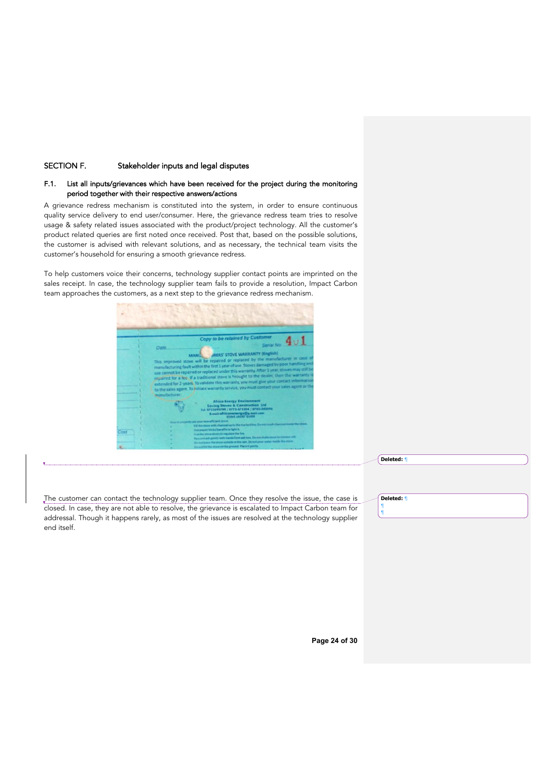# SECTION F. Stakeholder inputs and legal disputes

# F.1. List all inputs/grievances which have been received for the project during the monitoring period together with their respective answers/actions

A grievance redress mechanism is constituted into the system, in order to ensure continuous quality service delivery to end user/consumer. Here, the grievance redress team tries to resolve usage & safety related issues associated with the product/project technology. All the customer's product related queries are first noted once received. Post that, based on the possible solutions, the customer is advised with relevant solutions, and as necessary, the technical team visits the customer's household for ensuring a smooth grievance redress.

To help customers voice their concerns, technology supplier contact points are imprinted on the sales receipt. In case, the technology supplier team fails to provide a resolution, Impact Carbon team approaches the customers, as a next step to the grievance redress mechanism.



**Deleted:** ¶

The customer can contact the technology supplier team. Once they resolve the issue, the case is closed. In case, they are not able to resolve, the grievance is escalated to Impact Carbon team for addressal. Though it happens rarely, as most of the issues are resolved at the technology supplier end itself.

**Deleted:** ¶

¶ ¶

**Page 24 of 30**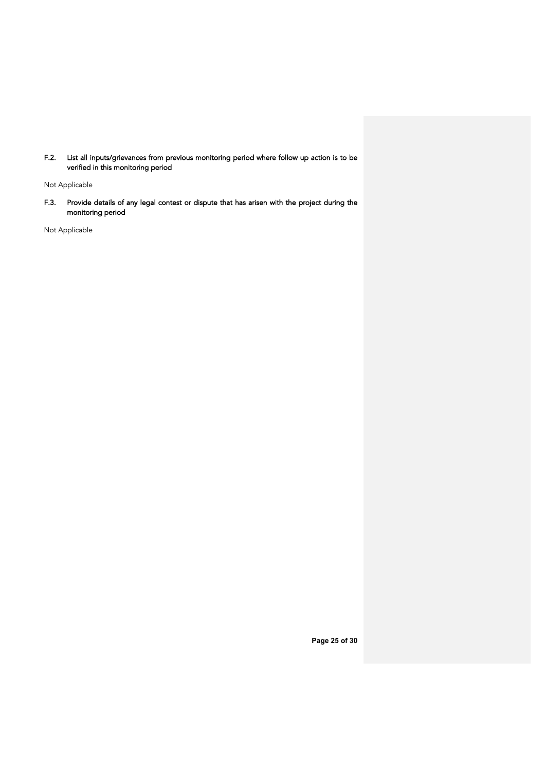F.2. List all inputs/grievances from previous monitoring period where follow up action is to be verified in this monitoring period

Not Applicable

F.3. Provide details of any legal contest or dispute that has arisen with the project during the monitoring period

Not Applicable

**Page 25 of 30**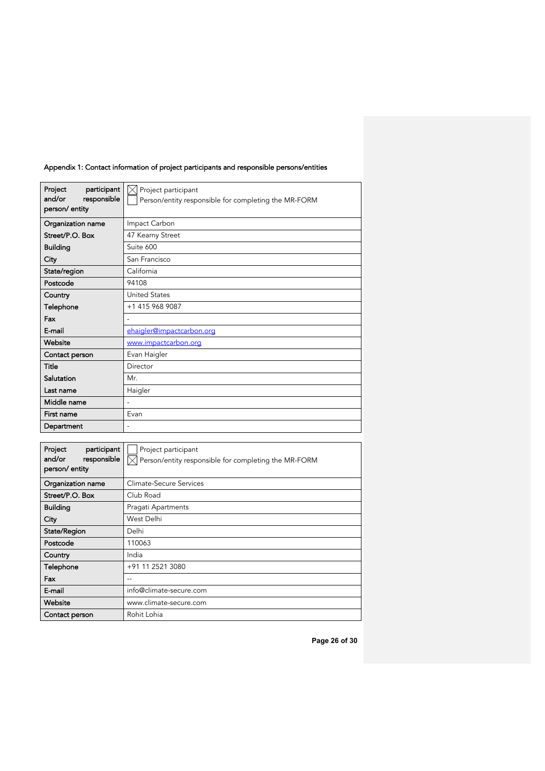| participant<br>Project<br>and/or<br>responsible<br>person/ entity | $\boxtimes$ Project participant<br>Person/entity responsible for completing the MR-FORM |  |  |
|-------------------------------------------------------------------|-----------------------------------------------------------------------------------------|--|--|
| Organization name                                                 | Impact Carbon                                                                           |  |  |
| Street/P.O. Box                                                   | 47 Kearny Street                                                                        |  |  |
| <b>Building</b>                                                   | Suite 600                                                                               |  |  |
| City                                                              | San Francisco                                                                           |  |  |
| State/region                                                      | California                                                                              |  |  |
| Postcode                                                          | 94108                                                                                   |  |  |
| Country                                                           | <b>United States</b>                                                                    |  |  |
| Telephone                                                         | +1 415 968 9087                                                                         |  |  |
| Fax                                                               |                                                                                         |  |  |
| E-mail                                                            | ehaigler@impactcarbon.org                                                               |  |  |
| Website                                                           | www.impactcarbon.org                                                                    |  |  |
| Contact person                                                    | Evan Haigler                                                                            |  |  |
| Title                                                             | Director                                                                                |  |  |
| Salutation                                                        | Mr.                                                                                     |  |  |
| Last name                                                         | Haigler                                                                                 |  |  |
| Middle name                                                       | L,                                                                                      |  |  |
| First name                                                        | Evan                                                                                    |  |  |
| Department                                                        |                                                                                         |  |  |
|                                                                   |                                                                                         |  |  |
| Project<br>participant                                            | Project participant                                                                     |  |  |
| and/or<br>responsible<br>person/entity                            | Person/entity responsible for completing the MR-FORM                                    |  |  |
| Organization name                                                 | Climate-Secure Services                                                                 |  |  |
| Street/P.O. Box                                                   | Club Road                                                                               |  |  |
| <b>Building</b>                                                   | Pragati Apartments                                                                      |  |  |
| City                                                              | West Delhi                                                                              |  |  |
| State/Region                                                      | Delhi                                                                                   |  |  |
| Postcode                                                          | 110063                                                                                  |  |  |
| Country                                                           | India                                                                                   |  |  |

# Appendix 1: Contact information of project participants and responsible persons/entities

**Country India** Telephone +91 11 2521 3080 Fax 2001 E-mail info@climate-secure.com Website www.climate-secure.com Contact person Rohit Lohia

**Page 26 of 30**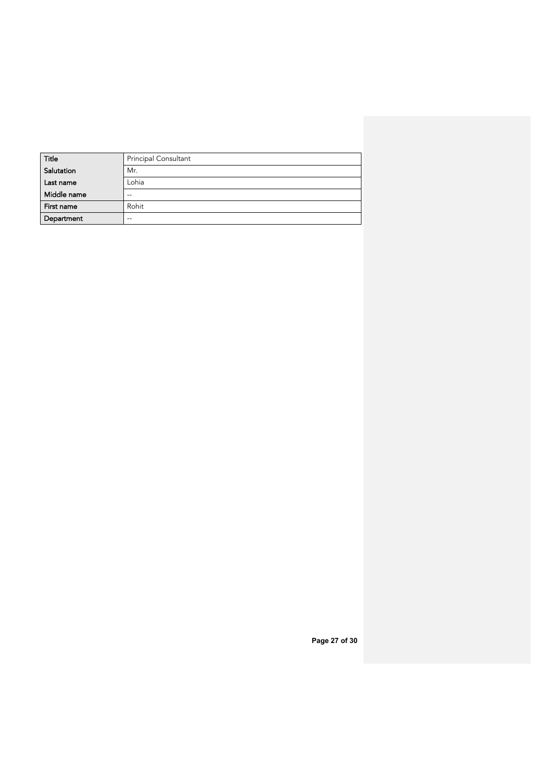| Title       | Principal Consultant |
|-------------|----------------------|
| Salutation  | Mr.                  |
| Last name   | Lohia                |
| Middle name | $- -$                |
| First name  | Rohit                |
| Department  | $- -$                |

**Page 27 of 30**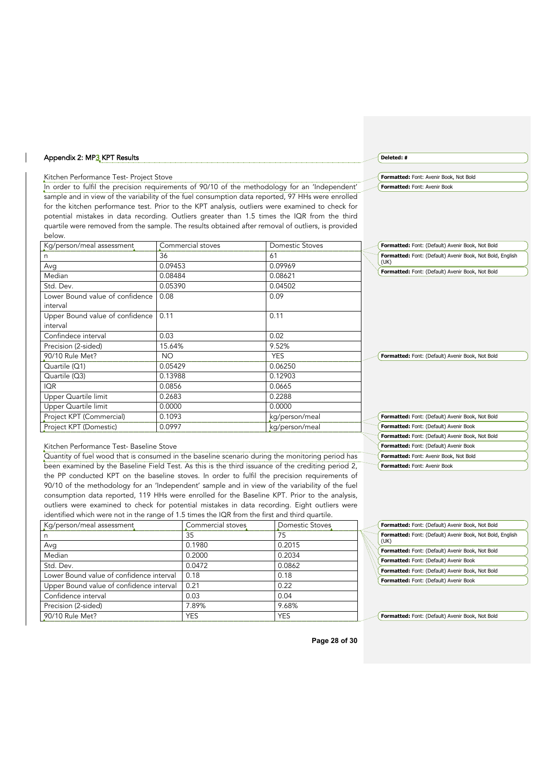### Appendix 2: MP3 KPT Results

### Kitchen Performance Test- Project Stove

In order to fulfil the precision requirements of 90/10 of the methodology for an 'Independent' sample and in view of the variability of the fuel consumption data reported, 97 HHs were enrolled for the kitchen performance test. Prior to the KPT analysis, outliers were examined to check for potential mistakes in data recording. Outliers greater than 1.5 times the IQR from the third quartile were removed from the sample. The results obtained after removal of outliers, is provided below.

| Kg/person/meal assessment       | Commercial stoves | Domestic Stoves | Formatted: Font: (Default) Avenir Book, Not Bold          |  |
|---------------------------------|-------------------|-----------------|-----------------------------------------------------------|--|
| n                               | 36                | 61              | Formatted: Font: (Default) Avenir Book, Not Bold, English |  |
| Avg                             | 0.09453           | 0.09969         | (UK)                                                      |  |
| Median                          | 0.08484           | 0.08621         | Formatted: Font: (Default) Avenir Book, Not Bold          |  |
| Std. Dev.                       | 0.05390           | 0.04502         |                                                           |  |
| Lower Bound value of confidence | 0.08              | 0.09            |                                                           |  |
| interval                        |                   |                 |                                                           |  |
| Upper Bound value of confidence | 0.11              | 0.11            |                                                           |  |
| interval                        |                   |                 |                                                           |  |
| Confindece interval             | 0.03              | 0.02            |                                                           |  |
| Precision (2-sided)             | 15.64%            | 9.52%           |                                                           |  |
| 90/10 Rule Met?                 | NO.               | <b>YES</b>      | Formatted: Font: (Default) Avenir Book, Not Bold          |  |
| Quartile (Q1)                   | 0.05429           | 0.06250         |                                                           |  |
| Quartile (Q3)                   | 0.13988           | 0.12903         |                                                           |  |
| <b>IQR</b>                      | 0.0856            | 0.0665          |                                                           |  |
| Upper Quartile limit            | 0.2683            | 0.2288          |                                                           |  |
| Upper Quartile limit            | 0.0000            | 0.0000          |                                                           |  |
| Project KPT (Commercial)        | 0.1093            | kg/person/meal  | Formatted: Font: (Default) Avenir Book, Not Bold          |  |
| Project KPT (Domestic)          | 0.0997            | kg/person/meal  | Formatted: Font: (Default) Avenir Book                    |  |

### **Formatted:** Font: Avenir Book, Not Bold **Formatted:** Font: Avenir Book

**Deleted:** #

### Kitchen Performance Test- Baseline Stove

Quantity of fuel wood that is consumed in the baseline scenario during the monitoring period has been examined by the Baseline Field Test. As this is the third issuance of the crediting period 2, the PP conducted KPT on the baseline stoves. In order to fulfil the precision requirements of 90/10 of the methodology for an 'Independent' sample and in view of the variability of the fuel consumption data reported, 119 HHs were enrolled for the Baseline KPT. Prior to the analysis, outliers were examined to check for potential mistakes in data recording. Eight outliers were identified which were not in the range of 1.5 times the IQR from the first and third quartile.

| Kg/person/meal assessment                | Commercial stoves | Domestic Stoves |
|------------------------------------------|-------------------|-----------------|
| n                                        | 35                | 75              |
| Avg                                      | 0.1980            | 0.2015          |
| Median                                   | 0.2000            | 0.2034          |
| Std. Dev.                                | 0.0472            | 0.0862          |
| Lower Bound value of confidence interval | 0.18              | 0.18            |
| Upper Bound value of confidence interval | 0.21              | 0.22            |
| Confidence interval                      | 0.03              | 0.04            |
| Precision (2-sided)                      | 7.89%             | 9.68%           |
| 90/10 Rule Met?                          | <b>YES</b>        | <b>YES</b>      |

| Formatted: Font: (Default) Avenir Book, Not Bold                  |
|-------------------------------------------------------------------|
| Formatted: Font: (Default) Avenir Book, Not Bold, English<br>(UK) |
| Formatted: Font: (Default) Avenir Book, Not Bold                  |
| Formatted: Font: (Default) Avenir Book                            |
| Formatted: Font: (Default) Avenir Book, Not Bold                  |
| Formatted: Font: (Default) Avenir Book                            |
|                                                                   |

**Formatted:** Font: (Default) Avenir Book, Not Bold

**Formatted:** Font: (Default) Avenir Book, Not Bold **Formatted:** Font: (Default) Avenir Book **Formatted:** Font: Avenir Book, Not Bold **Formatted:** Font: Avenir Book

**Page 28 of 30**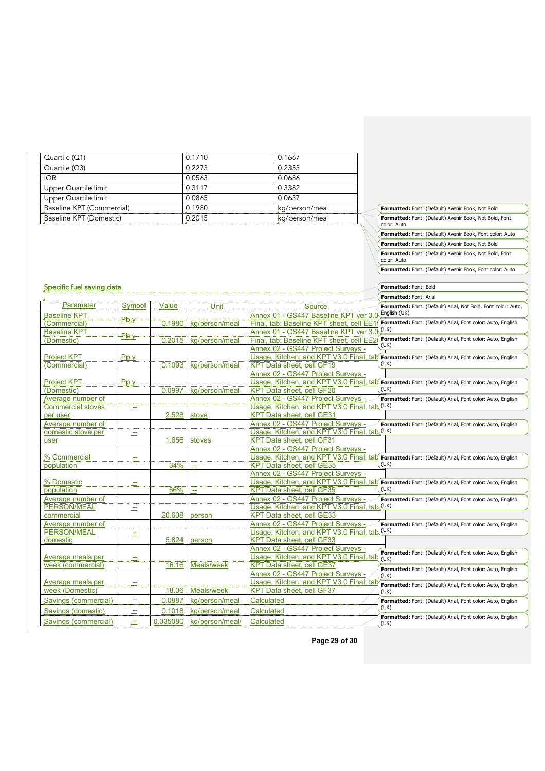| Quartile $(Q1)$           | 0.1710 | 0.1667         |
|---------------------------|--------|----------------|
| Quartile $(Q3)$           | 0.2273 | 0.2353         |
| <b>IOR</b>                | 0.0563 | 0.0686         |
| Upper Quartile limit      | 0.3117 | 0.3382         |
| Upper Quartile limit      | 0.0865 | 0.0637         |
| Baseline KPT (Commercial) | 0.1980 | kg/person/meal |
| Baseline KPT (Domestic)   | 0.2015 | kg/person/meal |

|  | Specific fuel saving data |  |
|--|---------------------------|--|
|  |                           |  |

|                          |           |          |                 |                                              | Formatted: Font: Arial                                                                              |
|--------------------------|-----------|----------|-----------------|----------------------------------------------|-----------------------------------------------------------------------------------------------------|
| Parameter                | Symbol    | Value    | Unit            | Source                                       | Formatted: Font: (Default) Arial, Not Bold, Font color: Auto,                                       |
| <b>Baseline KPT</b>      | Pb;y      |          |                 | Annex 01 - GS447 Baseline KPT ver 3.0        | English (UK)                                                                                        |
| (Commercial)             |           | 0.1980   | kg/person/meal  | Final, tab: Baseline KPT sheet, cell EE1     | Formatted: Font: (Default) Arial, Font color: Auto, English                                         |
| <b>Baseline KPT</b>      | Pb,y      |          |                 | Annex 01 - GS447 Baseline KPT ver 3.0        | (UK)                                                                                                |
| (Domestic)               |           | 0.2015   | kg/person/meal  | Final, tab: Baseline KPT sheet, cell EE2     | Formatted: Font: (Default) Arial, Font color: Auto, English<br>(UK)                                 |
|                          |           |          |                 | Annex 02 - GS447 Project Surveys -           |                                                                                                     |
| Project KPT              | Pp, y     |          |                 | Usage, Kitchen, and KPT V3.0 Final, tab      | Formatted: Font: (Default) Arial, Font color: Auto, English                                         |
| (Commercial)             |           | 0.1093   | kg/person/meal  | KPT Data sheet, cell GF19                    | (UK)                                                                                                |
|                          |           |          |                 | Annex 02 - GS447 Project Surveys -           |                                                                                                     |
| <b>Project KPT</b>       | $P_{D,V}$ |          |                 |                                              | Usage, Kitchen, and KPT V3.0 Final, tab Formatted: Font: (Default) Arial, Font color: Auto, English |
| (Domestic)               |           | 0.0997   | kg/person/meal  | KPT Data sheet, cell GF20                    | (UK)                                                                                                |
| Average number of        |           |          |                 | Annex 02 - GS447 Project Surveys -           | Formatted: Font: (Default) Arial, Font color: Auto, English                                         |
| <b>Commercial stoves</b> | ÷         |          |                 | Usage, Kitchen, and KPT V3.0 Final, tab (UK) |                                                                                                     |
| per user                 |           | 2.528    | stove           | <b>KPT Data sheet, cell GE31</b>             |                                                                                                     |
| Average number of        |           |          |                 | Annex 02 - GS447 Project Surveys -           | Formatted: Font: (Default) Arial, Font color: Auto, English                                         |
| domestic stove per       | ÷         |          |                 | Usage, Kitchen, and KPT V3.0 Final, tab (UK) |                                                                                                     |
| user                     |           | 1.656    | stoves          | <b>KPT Data sheet, cell GF31</b>             |                                                                                                     |
|                          |           |          |                 | Annex 02 - GS447 Project Surveys -           |                                                                                                     |
| % Commercial             | н.        |          |                 | Usage, Kitchen, and KPT V3.0 Final, tab      | Formatted: Font: (Default) Arial, Font color: Auto, English                                         |
| population               |           | 34%      | $\mathbf{u}$    | KPT Data sheet, cell GE35                    | (UK)                                                                                                |
|                          |           |          |                 | Annex 02 - GS447 Project Surveys -           |                                                                                                     |
| % Domestic               | --        |          |                 | Usage, Kitchen, and KPT V3.0 Final, tab      | Formatted: Font: (Default) Arial, Font color: Auto, English                                         |
| population               |           | 66%      | $\overline{a}$  | KPT Data sheet, cell GF35                    | (UK)                                                                                                |
| Average number of        |           |          |                 | Annex 02 - GS447 Project Surveys -           | Formatted: Font: (Default) Arial, Font color: Auto, English                                         |
| <b>PERSON/MEAL</b>       | ÷         |          |                 | Usage, Kitchen, and KPT V3.0 Final, tab (UK) |                                                                                                     |
| commercial               |           | 20.608   | person          | KPT Data sheet, cell GE33                    |                                                                                                     |
| Average number of        |           |          |                 | Annex 02 - GS447 Project Surveys -           | Formatted: Font: (Default) Arial, Font color: Auto, English                                         |
| <b>PERSON/MEAL</b>       | Ξ         |          |                 | Usage, Kitchen, and KPT V3.0 Final, tab (UK) |                                                                                                     |
| domestic                 |           | 5.824    | person          | <b>KPT Data sheet, cell GF33</b>             |                                                                                                     |
|                          |           |          |                 | Annex 02 - GS447 Project Surveys -           | Formatted: Font: (Default) Arial, Font color: Auto, English                                         |
| Average meals per        |           |          |                 | Usage, Kitchen, and KPT V3.0 Final, tab      | (UK)                                                                                                |
| week (commercial)        |           | 16.16    | Meals/week      | KPT Data sheet, cell GE37                    | Formatted: Font: (Default) Arial, Font color: Auto, English                                         |
|                          |           |          |                 | Annex 02 - GS447 Project Surveys -           | (UK)                                                                                                |
| Average meals per        | --        |          |                 | Usage, Kitchen, and KPT V3.0 Final, tab      | Formatted: Font: (Default) Arial, Font color: Auto, English                                         |
| week (Domestic)          |           | 18.06    | Meals/week      | KPT Data sheet, cell GF37                    | (UK)                                                                                                |
| Savings (commercial)     | ÷         | 0.0887   | kg/person/meal  | Calculated                                   | Formatted: Font: (Default) Arial, Font color: Auto, English                                         |
| Savings (domestic)       | ÷         | 0.1018   | kg/person/meal  | Calculated                                   | (UK)                                                                                                |
| Savings (commercial)     | ÷.        | 0.035080 | kg/person/meal/ | Calculated                                   | Formatted: Font: (Default) Arial, Font color: Auto, English<br>(UK)                                 |

**Page 29 of 30**

**Formatted:** Font: (Default) Avenir Book, Not Bold **Formatted:** Font: (Default) Avenir Book, Not Bold, Font color: Auto **Formatted:** Font: (Default) Avenir Book, Font color: Auto **Formatted:** Font: (Default) Avenir Book, Not Bold **Formatted:** Font: (Default) Avenir Book, Not Bold, Font color: Auto **Formatted:** Font: (Default) Avenir Book, Font color: Auto

**Formatted:** Font: Bold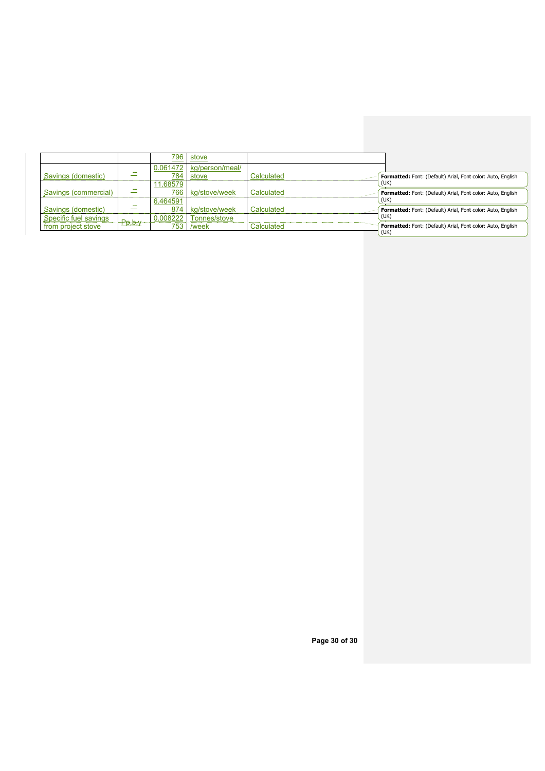|                       |        | 796      | stove           |            |                                                             |
|-----------------------|--------|----------|-----------------|------------|-------------------------------------------------------------|
|                       |        | 0.061472 | kg/person/meal/ |            |                                                             |
| Savings (domestic)    | --     | 784      | stove           | Calculated | Formatted: Font: (Default) Arial, Font color: Auto, English |
|                       |        | 11.68579 |                 |            | (UK)                                                        |
| Savings (commercial)  | ÷      | 766      | kg/stove/week   | Calculated | Formatted: Font: (Default) Arial, Font color: Auto, English |
|                       |        | 6.464591 |                 |            | (UK)                                                        |
| Savings (domestic)    | ÷      | 874      | kg/stove/week   | Calculated | Formatted: Font: (Default) Arial, Font color: Auto, English |
| Specific fuel savings |        | 0.008222 | Tonnes/stove    |            | (UK)                                                        |
| from project stove    | Pp,b,y | 753      | /week           | Calculated | Formatted: Font: (Default) Arial, Font color: Auto, English |
|                       |        |          |                 |            | (UK)                                                        |

**Page 30 of 30**